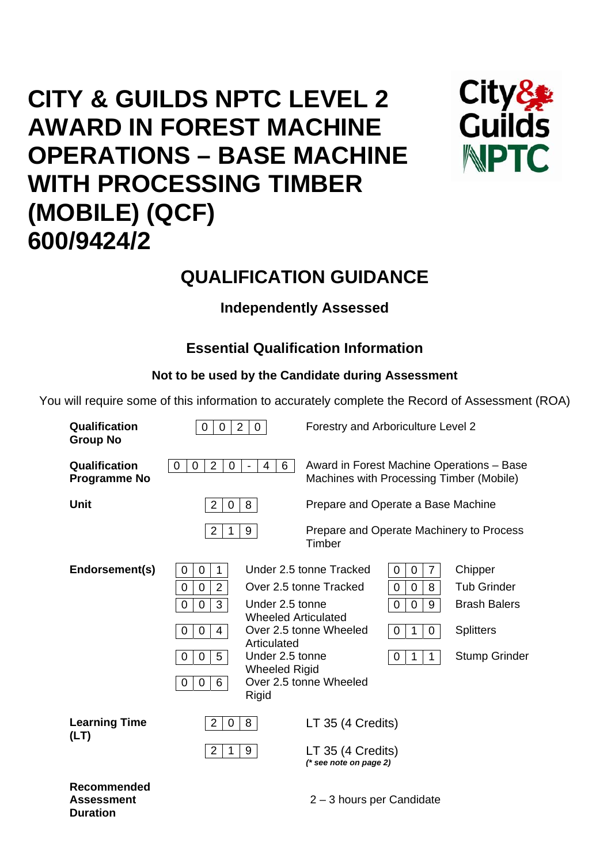# **CITY & GUILDS NPTC LEVEL 2 AWARD IN FOREST MACHINE OPERATIONS – BASE MACHINE WITH PROCESSING TIMBER (MOBILE) (QCF) 600/9424/2**



## **QUALIFICATION GUIDANCE**

## **Independently Assessed**

## **Essential Qualification Information**

## **Not to be used by the Candidate during Assessment**

You will require some of this information to accurately complete the Record of Assessment (ROA)

| Qualification<br><b>Group No</b>                           | $\overline{2}$<br>Forestry and Arboriculture Level 2<br>$\overline{0}$<br>$\mathbf 0$<br>0                                                                                                                                                                                       |                                                                                                                                                                                                                                                                                                                              |  |  |  |  |
|------------------------------------------------------------|----------------------------------------------------------------------------------------------------------------------------------------------------------------------------------------------------------------------------------------------------------------------------------|------------------------------------------------------------------------------------------------------------------------------------------------------------------------------------------------------------------------------------------------------------------------------------------------------------------------------|--|--|--|--|
| Qualification<br><b>Programme No</b>                       | $\overline{2}$<br>$\overline{4}$<br>$\mathbf 0$<br>$\mathbf 0$<br>$\mathbf 0$<br>6<br>$\blacksquare$                                                                                                                                                                             | Award in Forest Machine Operations - Base<br>Machines with Processing Timber (Mobile)                                                                                                                                                                                                                                        |  |  |  |  |
| <b>Unit</b>                                                | $\overline{2}$<br>8<br>0                                                                                                                                                                                                                                                         | Prepare and Operate a Base Machine                                                                                                                                                                                                                                                                                           |  |  |  |  |
|                                                            | $\overline{2}$<br>9<br>1                                                                                                                                                                                                                                                         | Prepare and Operate Machinery to Process<br>Timber                                                                                                                                                                                                                                                                           |  |  |  |  |
| Endorsement(s)                                             | $\mathbf{1}$<br>0<br>0<br>$\overline{2}$<br>0<br>0<br>3<br>Under 2.5 tonne<br>$\mathbf 0$<br>0<br><b>Wheeled Articulated</b><br>$\overline{4}$<br>$\mathbf 0$<br>0<br>Articulated<br>Under 2.5 tonne<br>5<br>0<br>0<br><b>Wheeled Rigid</b><br>6<br>$\overline{0}$<br>0<br>Rigid | Under 2.5 tonne Tracked<br>$\mathbf 0$<br>7<br>Chipper<br>0<br><b>Tub Grinder</b><br>Over 2.5 tonne Tracked<br>0<br>0<br>8<br><b>Brash Balers</b><br>$\mathbf 0$<br>9<br>0<br>Over 2.5 tonne Wheeled<br>$\mathbf 0$<br>0<br><b>Splitters</b><br>1<br><b>Stump Grinder</b><br>$\mathbf 0$<br>1<br>1<br>Over 2.5 tonne Wheeled |  |  |  |  |
| <b>Learning Time</b><br>(LT)                               | $\overline{2}$<br>$\mathbf 0$<br>8<br>$\overline{2}$<br>9<br>$\mathbf 1$                                                                                                                                                                                                         | LT 35 (4 Credits)<br>LT 35 (4 Credits)                                                                                                                                                                                                                                                                                       |  |  |  |  |
|                                                            |                                                                                                                                                                                                                                                                                  | $(*$ see note on page 2)                                                                                                                                                                                                                                                                                                     |  |  |  |  |
| <b>Recommended</b><br><b>Assessment</b><br><b>Duration</b> |                                                                                                                                                                                                                                                                                  | 2 - 3 hours per Candidate                                                                                                                                                                                                                                                                                                    |  |  |  |  |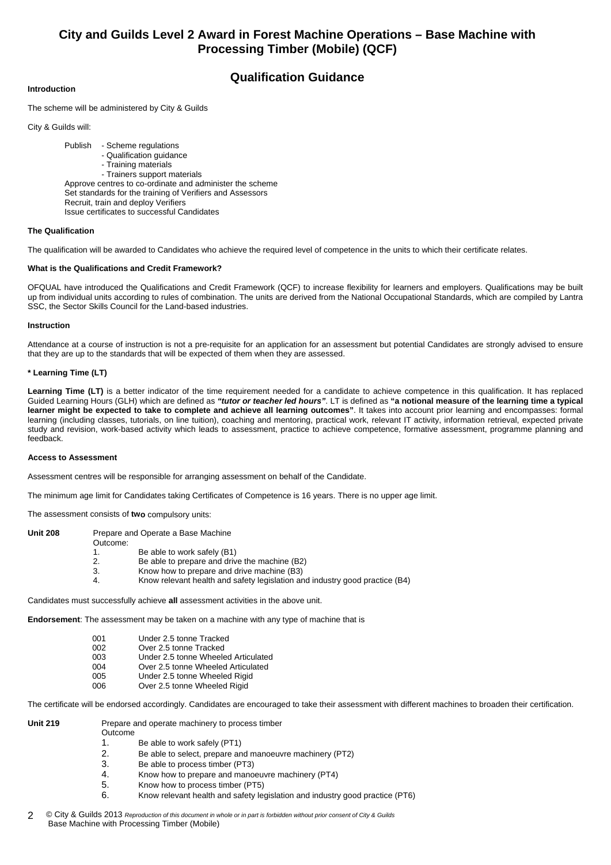## **City and Guilds Level 2 Award in Forest Machine Operations – Base Machine with Processing Timber (Mobile) (QCF)**

### **Qualification Guidance**

#### **Introduction**

The scheme will be administered by City & Guilds

City & Guilds will:

 Publish - Scheme regulations - Qualification guidance - Training materials - Trainers support materials Approve centres to co-ordinate and administer the scheme Set standards for the training of Verifiers and Assessors Recruit, train and deploy Verifiers Issue certificates to successful Candidates

#### **The Qualification**

The qualification will be awarded to Candidates who achieve the required level of competence in the units to which their certificate relates.

#### **What is the Qualifications and Credit Framework?**

OFQUAL have introduced the Qualifications and Credit Framework (QCF) to increase flexibility for learners and employers. Qualifications may be built up from individual units according to rules of combination. The units are derived from the National Occupational Standards, which are compiled by Lantra SSC, the Sector Skills Council for the Land-based industries.

#### **Instruction**

Attendance at a course of instruction is not a pre-requisite for an application for an assessment but potential Candidates are strongly advised to ensure that they are up to the standards that will be expected of them when they are assessed.

#### **\* Learning Time (LT)**

Learning Time (LT) is a better indicator of the time requirement needed for a candidate to achieve competence in this qualification. It has replaced Guided Learning Hours (GLH) which are defined as *"tutor or teacher led hours"*. LT is defined as **"a notional measure of the learning time a typical learner might be expected to take to complete and achieve all learning outcomes"**. It takes into account prior learning and encompasses: formal learning (including classes, tutorials, on line tuition), coaching and mentoring, practical work, relevant IT activity, information retrieval, expected private study and revision, work-based activity which leads to assessment, practice to achieve competence, formative assessment, programme planning and feedback.

#### **Access to Assessment**

Assessment centres will be responsible for arranging assessment on behalf of the Candidate.

The minimum age limit for Candidates taking Certificates of Competence is 16 years. There is no upper age limit.

The assessment consists of **two** compulsory units:

| Unit 208 |          | Prepare and Operate a Base Machine                                          |
|----------|----------|-----------------------------------------------------------------------------|
|          | Outcome: |                                                                             |
|          |          | Be able to work safely (B1)                                                 |
|          |          | Be able to prepare and drive the machine (B2)                               |
|          | 3.       | Know how to prepare and drive machine (B3)                                  |
|          | 4.       | Know relevant health and safety legislation and industry good practice (B4) |

Candidates must successfully achieve **all** assessment activities in the above unit.

**Endorsement**: The assessment may be taken on a machine with any type of machine that is

| 001 | Under 2.5 tonne Tracked             |
|-----|-------------------------------------|
| 002 | Over 2.5 tonne Tracked              |
| 003 | Under 2.5 tonne Wheeled Articulated |
| 004 | Over 2.5 tonne Wheeled Articulated  |
| 005 | Under 2.5 tonne Wheeled Rigid       |
| 006 | Over 2.5 tonne Wheeled Rigid        |

The certificate will be endorsed accordingly. Candidates are encouraged to take their assessment with different machines to broaden their certification.

**Unit 219** Prepare and operate machinery to process timber

- Outcome
	-
	- 1. Be able to work safely (PT1)<br>2. Be able to select, prepare and Be able to select, prepare and manoeuvre machinery (PT2)
	- 3. Be able to process timber (PT3)<br>4. Know how to prepare and mano
	- 4. Know how to prepare and manoeuvre machinery (PT4)
	- 5. Know how to process timber (PT5)
	- 6. Know relevant health and safety legislation and industry good practice (PT6)
- © City & Guilds 2013 *Reproduction of this document in whole or in part is forbidden without prior consent of City & Guilds*  Base Machine with Processing Timber (Mobile) 2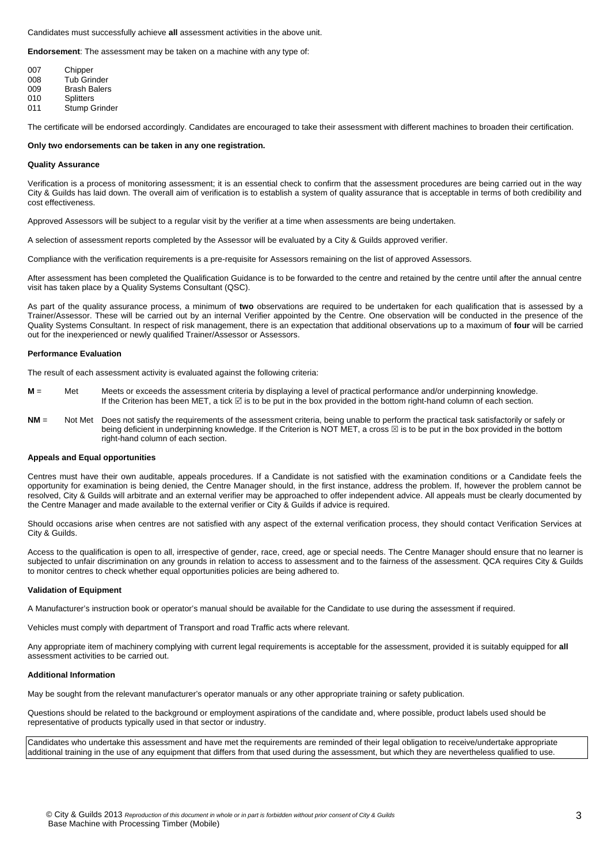Candidates must successfully achieve **all** assessment activities in the above unit.

**Endorsement**: The assessment may be taken on a machine with any type of:

| 007 | Chipper              |
|-----|----------------------|
| 008 | <b>Tub Grinder</b>   |
| 009 | <b>Brash Balers</b>  |
| 010 | <b>Splitters</b>     |
| 011 | <b>Stump Grinder</b> |

The certificate will be endorsed accordingly. Candidates are encouraged to take their assessment with different machines to broaden their certification.

#### **Only two endorsements can be taken in any one registration.**

#### **Quality Assurance**

Verification is a process of monitoring assessment; it is an essential check to confirm that the assessment procedures are being carried out in the way City & Guilds has laid down. The overall aim of verification is to establish a system of quality assurance that is acceptable in terms of both credibility and cost effectiveness.

Approved Assessors will be subject to a regular visit by the verifier at a time when assessments are being undertaken.

A selection of assessment reports completed by the Assessor will be evaluated by a City & Guilds approved verifier.

Compliance with the verification requirements is a pre-requisite for Assessors remaining on the list of approved Assessors.

After assessment has been completed the Qualification Guidance is to be forwarded to the centre and retained by the centre until after the annual centre visit has taken place by a Quality Systems Consultant (QSC).

As part of the quality assurance process, a minimum of **two** observations are required to be undertaken for each qualification that is assessed by a Trainer/Assessor. These will be carried out by an internal Verifier appointed by the Centre. One observation will be conducted in the presence of the Quality Systems Consultant. In respect of risk management, there is an expectation that additional observations up to a maximum of **four** will be carried out for the inexperienced or newly qualified Trainer/Assessor or Assessors.

#### **Performance Evaluation**

The result of each assessment activity is evaluated against the following criteria:

- **M** = Met Meets or exceeds the assessment criteria by displaying a level of practical performance and/or underpinning knowledge. **If the Criterion has been MET, a tick** ⊠ is to be put in the box provided in the bottom right-hand column of each section.
- **NM** = Not Met Does not satisfy the requirements of the assessment criteria, being unable to perform the practical task satisfactorily or safely or being deficient in underpinning knowledge. If the Criterion is NOT MET, a cross  $\boxtimes$  is to be put in the box provided in the bottom right-hand column of each section.

#### **Appeals and Equal opportunities**

Centres must have their own auditable, appeals procedures. If a Candidate is not satisfied with the examination conditions or a Candidate feels the opportunity for examination is being denied, the Centre Manager should, in the first instance, address the problem. If, however the problem cannot be resolved, City & Guilds will arbitrate and an external verifier may be approached to offer independent advice. All appeals must be clearly documented by the Centre Manager and made available to the external verifier or City & Guilds if advice is required.

Should occasions arise when centres are not satisfied with any aspect of the external verification process, they should contact Verification Services at City & Guilds.

Access to the qualification is open to all, irrespective of gender, race, creed, age or special needs. The Centre Manager should ensure that no learner is subjected to unfair discrimination on any grounds in relation to access to assessment and to the fairness of the assessment. QCA requires City & Guilds to monitor centres to check whether equal opportunities policies are being adhered to.

#### **Validation of Equipment**

A Manufacturer's instruction book or operator's manual should be available for the Candidate to use during the assessment if required.

Vehicles must comply with department of Transport and road Traffic acts where relevant.

Any appropriate item of machinery complying with current legal requirements is acceptable for the assessment, provided it is suitably equipped for **all** assessment activities to be carried out.

#### **Additional Information**

May be sought from the relevant manufacturer's operator manuals or any other appropriate training or safety publication.

Questions should be related to the background or employment aspirations of the candidate and, where possible, product labels used should be representative of products typically used in that sector or industry.

Candidates who undertake this assessment and have met the requirements are reminded of their legal obligation to receive/undertake appropriate additional training in the use of any equipment that differs from that used during the assessment, but which they are nevertheless qualified to use.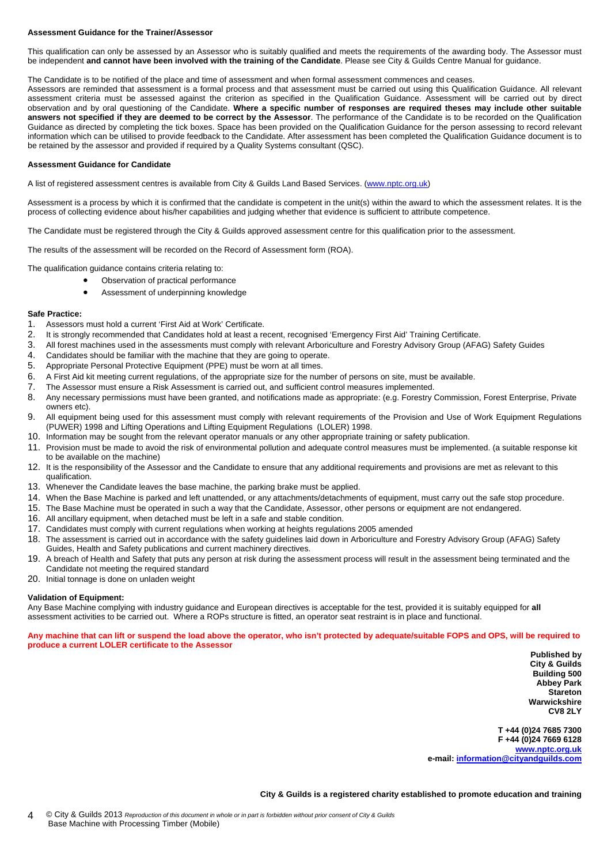#### **Assessment Guidance for the Trainer/Assessor**

This qualification can only be assessed by an Assessor who is suitably qualified and meets the requirements of the awarding body. The Assessor must be independent **and cannot have been involved with the training of the Candidate**. Please see City & Guilds Centre Manual for guidance.

The Candidate is to be notified of the place and time of assessment and when formal assessment commences and ceases.

Assessors are reminded that assessment is a formal process and that assessment must be carried out using this Qualification Guidance. All relevant assessment criteria must be assessed against the criterion as specified in the Qualification Guidance. Assessment will be carried out by direct observation and by oral questioning of the Candidate. **Where a specific number of responses are required theses may include other suitable answers not specified if they are deemed to be correct by the Assessor**. The performance of the Candidate is to be recorded on the Qualification Guidance as directed by completing the tick boxes. Space has been provided on the Qualification Guidance for the person assessing to record relevant information which can be utilised to provide feedback to the Candidate. After assessment has been completed the Qualification Guidance document is to be retained by the assessor and provided if required by a Quality Systems consultant (QSC).

#### **Assessment Guidance for Candidate**

A list of registered assessment centres is available from City & Guilds Land Based Services. ([www.nptc.org.uk\)](http://www.nptc.org.uk/)

Assessment is a process by which it is confirmed that the candidate is competent in the unit(s) within the award to which the assessment relates. It is the process of collecting evidence about his/her capabilities and judging whether that evidence is sufficient to attribute competence.

The Candidate must be registered through the City & Guilds approved assessment centre for this qualification prior to the assessment.

The results of the assessment will be recorded on the Record of Assessment form (ROA).

The qualification guidance contains criteria relating to:

- Observation of practical performance
	- Assessment of underpinning knowledge

#### **Safe Practice:**

- 1. Assessors must hold a current 'First Aid at Work' Certificate.
- 2. It is strongly recommended that Candidates hold at least a recent, recognised 'Emergency First Aid' Training Certificate.
- 3. All forest machines used in the assessments must comply with relevant Arboriculture and Forestry Advisory Group (AFAG) Safety Guides
- 4. Candidates should be familiar with the machine that they are going to operate.
- 5. Appropriate Personal Protective Equipment (PPE) must be worn at all times.
- 6. A First Aid kit meeting current regulations, of the appropriate size for the number of persons on site, must be available.
- 7. The Assessor must ensure a Risk Assessment is carried out, and sufficient control measures implemented.
- 8. Any necessary permissions must have been granted, and notifications made as appropriate: (e.g. Forestry Commission, Forest Enterprise, Private owners etc).
- 9. All equipment being used for this assessment must comply with relevant requirements of the Provision and Use of Work Equipment Regulations (PUWER) 1998 and Lifting Operations and Lifting Equipment Regulations (LOLER) 1998.
- 10. Information may be sought from the relevant operator manuals or any other appropriate training or safety publication.
- 11. Provision must be made to avoid the risk of environmental pollution and adequate control measures must be implemented. (a suitable response kit to be available on the machine)
- 12. It is the responsibility of the Assessor and the Candidate to ensure that any additional requirements and provisions are met as relevant to this qualification.
- 13. Whenever the Candidate leaves the base machine, the parking brake must be applied.
- 14. When the Base Machine is parked and left unattended, or any attachments/detachments of equipment, must carry out the safe stop procedure.
- 15. The Base Machine must be operated in such a way that the Candidate, Assessor, other persons or equipment are not endangered.
- 16. All ancillary equipment, when detached must be left in a safe and stable condition.
- 17. Candidates must comply with current regulations when working at heights regulations 2005 amended
- 18. The assessment is carried out in accordance with the safety guidelines laid down in Arboriculture and Forestry Advisory Group (AFAG) Safety Guides, Health and Safety publications and current machinery directives.
- 19. A breach of Health and Safety that puts any person at risk during the assessment process will result in the assessment being terminated and the Candidate not meeting the required standard
- 20. Initial tonnage is done on unladen weight

#### **Validation of Equipment:**

Any Base Machine complying with industry guidance and European directives is acceptable for the test, provided it is suitably equipped for **all** assessment activities to be carried out. Where a ROPs structure is fitted, an operator seat restraint is in place and functional.

**Any machine that can lift or suspend the load above the operator, who isn't protected by adequate/suitable FOPS and OPS, will be required to produce a current LOLER certificate to the Assessor** 

> **Published by City & Guilds Building 500 Abbey Park Stareton Warwickshire CV8 2LY**

**T +44 (0)24 7685 7300 F +44 (0)24 7669 6128 [www.nptc.org.uk](http://www.nptc.org.uk/) e-mail: [information@cityandguilds.com](mailto:information@cityandguilds.com)**

**City & Guilds is a registered charity established to promote education and training**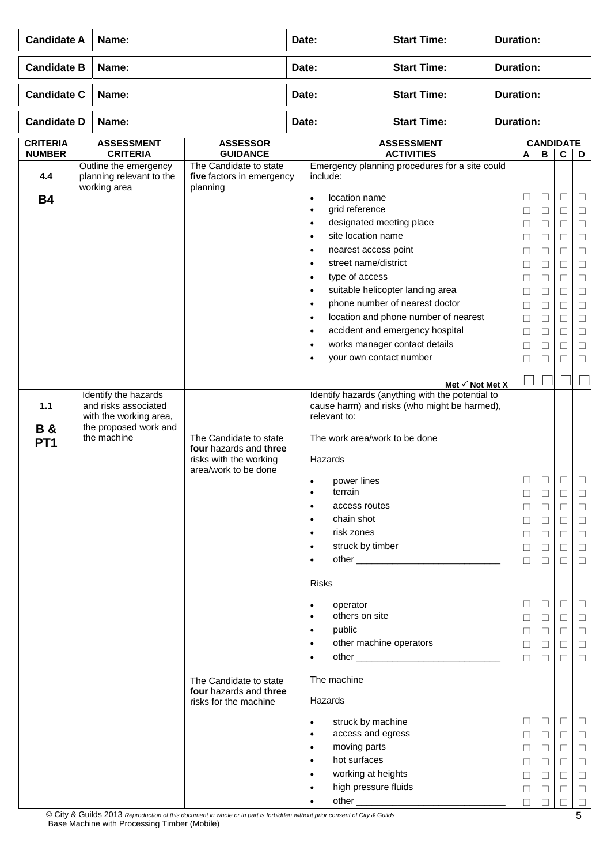|                                         | <b>Candidate A</b><br>Name: |                                                                                                                |                                                                                                                                                                                 | <b>Start Time:</b><br><b>Duration:</b><br>Date: |                                                                                                                                                                                                                                                                                                                                                                                                                                                                                                                                                                                               |                                                                                                                                                                                |                  |                                                                                                                           |                                                                                                                                                    |                                                                                                                                          |                                                                                                                                                              |  |
|-----------------------------------------|-----------------------------|----------------------------------------------------------------------------------------------------------------|---------------------------------------------------------------------------------------------------------------------------------------------------------------------------------|-------------------------------------------------|-----------------------------------------------------------------------------------------------------------------------------------------------------------------------------------------------------------------------------------------------------------------------------------------------------------------------------------------------------------------------------------------------------------------------------------------------------------------------------------------------------------------------------------------------------------------------------------------------|--------------------------------------------------------------------------------------------------------------------------------------------------------------------------------|------------------|---------------------------------------------------------------------------------------------------------------------------|----------------------------------------------------------------------------------------------------------------------------------------------------|------------------------------------------------------------------------------------------------------------------------------------------|--------------------------------------------------------------------------------------------------------------------------------------------------------------|--|
| <b>Candidate B</b>                      |                             | Name:                                                                                                          |                                                                                                                                                                                 | Date:                                           |                                                                                                                                                                                                                                                                                                                                                                                                                                                                                                                                                                                               | <b>Start Time:</b>                                                                                                                                                             | <b>Duration:</b> |                                                                                                                           |                                                                                                                                                    |                                                                                                                                          |                                                                                                                                                              |  |
| <b>Candidate C</b>                      |                             | Name:                                                                                                          |                                                                                                                                                                                 | Date:                                           |                                                                                                                                                                                                                                                                                                                                                                                                                                                                                                                                                                                               | <b>Start Time:</b>                                                                                                                                                             | <b>Duration:</b> |                                                                                                                           |                                                                                                                                                    |                                                                                                                                          |                                                                                                                                                              |  |
| <b>Candidate D</b>                      |                             | Name:                                                                                                          |                                                                                                                                                                                 | Date:                                           |                                                                                                                                                                                                                                                                                                                                                                                                                                                                                                                                                                                               | <b>Start Time:</b>                                                                                                                                                             | <b>Duration:</b> |                                                                                                                           |                                                                                                                                                    |                                                                                                                                          |                                                                                                                                                              |  |
| <b>CRITERIA</b><br><b>NUMBER</b>        |                             | <b>ASSESSMENT</b><br><b>CRITERIA</b>                                                                           | <b>ASSESSOR</b><br><b>GUIDANCE</b>                                                                                                                                              |                                                 |                                                                                                                                                                                                                                                                                                                                                                                                                                                                                                                                                                                               | <b>ASSESSMENT</b><br><b>ACTIVITIES</b>                                                                                                                                         |                  | A                                                                                                                         | $\, {\bf B}$                                                                                                                                       | <b>CANDIDATE</b><br>$\overline{c}$                                                                                                       | D                                                                                                                                                            |  |
| 4.4                                     |                             | Outline the emergency<br>planning relevant to the<br>working area                                              | The Candidate to state<br>five factors in emergency<br>planning                                                                                                                 |                                                 | include:                                                                                                                                                                                                                                                                                                                                                                                                                                                                                                                                                                                      | Emergency planning procedures for a site could                                                                                                                                 |                  |                                                                                                                           |                                                                                                                                                    |                                                                                                                                          |                                                                                                                                                              |  |
| <b>B4</b>                               |                             |                                                                                                                |                                                                                                                                                                                 |                                                 | location name<br>$\bullet$<br>grid reference<br>$\bullet$<br>designated meeting place<br>$\bullet$<br>site location name<br>$\bullet$<br>nearest access point<br>$\bullet$<br>street name/district<br>$\bullet$<br>type of access<br>$\bullet$<br>$\bullet$<br>$\bullet$<br>$\bullet$<br>$\bullet$<br>$\bullet$                                                                                                                                                                                                                                                                               | suitable helicopter landing area<br>phone number of nearest doctor<br>location and phone number of nearest<br>accident and emergency hospital<br>works manager contact details |                  | $\Box$<br>$\Box$<br>$\Box$<br>□<br>□<br>$\Box$<br>$\Box$<br>$\Box$<br>$\Box$<br>$\Box$<br>$\Box$<br>$\Box$                | $\Box$<br>$\Box$<br>$\Box$<br>□<br>□<br>$\Box$<br>$\Box$<br>$\Box$<br>$\Box$<br>$\Box$<br>$\Box$<br>□                                              | $\Box$<br>$\Box$<br>$\Box$<br>$\Box$<br>$\Box$<br>$\Box$<br>$\Box$<br>$\Box$<br>□<br>$\Box$<br>$\Box$<br>$\Box$                          | $\Box$<br>$\Box$<br>$\Box$<br>$\Box$<br>$\Box$<br>$\Box$<br>$\Box$<br>$\Box$<br>$\Box$<br>$\Box$<br>$\Box$<br>$\Box$                                         |  |
|                                         |                             |                                                                                                                |                                                                                                                                                                                 |                                                 | your own contact number<br>$\bullet$                                                                                                                                                                                                                                                                                                                                                                                                                                                                                                                                                          |                                                                                                                                                                                |                  | $\Box$                                                                                                                    | $\Box$                                                                                                                                             | $\Box$                                                                                                                                   | $\Box$                                                                                                                                                       |  |
| 1.1<br><b>B&amp;</b><br>PT <sub>1</sub> |                             | Identify the hazards<br>and risks associated<br>with the working area,<br>the proposed work and<br>the machine | The Candidate to state<br>four hazards and three<br>risks with the working<br>area/work to be done<br>The Candidate to state<br>four hazards and three<br>risks for the machine |                                                 | relevant to:<br>The work area/work to be done<br>Hazards<br>power lines<br>$\bullet$<br>terrain<br>$\bullet$<br>access routes<br>$\bullet$<br>chain shot<br>$\bullet$<br>risk zones<br>$\bullet$<br>struck by timber<br>$\bullet$<br>$\bullet$<br><b>Risks</b><br>operator<br>$\bullet$<br>others on site<br>$\bullet$<br>public<br>$\bullet$<br>other machine operators<br>$\bullet$<br>$\bullet$<br>The machine<br>Hazards<br>struck by machine<br>$\bullet$<br>access and egress<br>$\bullet$<br>moving parts<br>$\bullet$<br>hot surfaces<br>$\bullet$<br>working at heights<br>$\bullet$ | Met $\checkmark$ Not Met X<br>Identify hazards (anything with the potential to<br>cause harm) and risks (who might be harmed),                                                 |                  | □<br>⊔<br>$\Box$<br>□<br>□<br>$\Box$<br>□<br>□<br>$\Box$<br>$\Box$<br>□<br>$\Box$<br>□<br>$\Box$<br>$\Box$<br>□<br>$\Box$ | $\Box$<br>$\Box$<br>$\Box$<br>$\Box$<br>$\Box$<br>$\Box$<br>⊔<br>⊔<br>$\Box$<br>$\Box$<br>П<br>$\Box$<br>⊔<br>$\Box$<br>$\Box$<br>$\Box$<br>$\Box$ | □<br>⊔<br>$\Box$<br>$\Box$<br>$\Box$<br>□<br>□<br>$\Box$<br>$\Box$<br>$\Box$<br>$\Box$<br>$\Box$<br>□<br>$\Box$<br>$\Box$<br>□<br>$\Box$ | $\Box$<br>⊔<br>$\Box$<br>$\Box$<br>$\Box$<br>$\Box$<br>$\Box$<br>$\Box$<br>$\Box$<br>$\Box$<br>$\Box$<br>$\Box$<br>Ц<br>$\Box$<br>$\Box$<br>$\Box$<br>$\Box$ |  |

© City & Guilds 2013 *Reproduction of this document in whole or in part is forbidden without prior consent of City & Guilds*  Base Machine with Processing Timber (Mobile)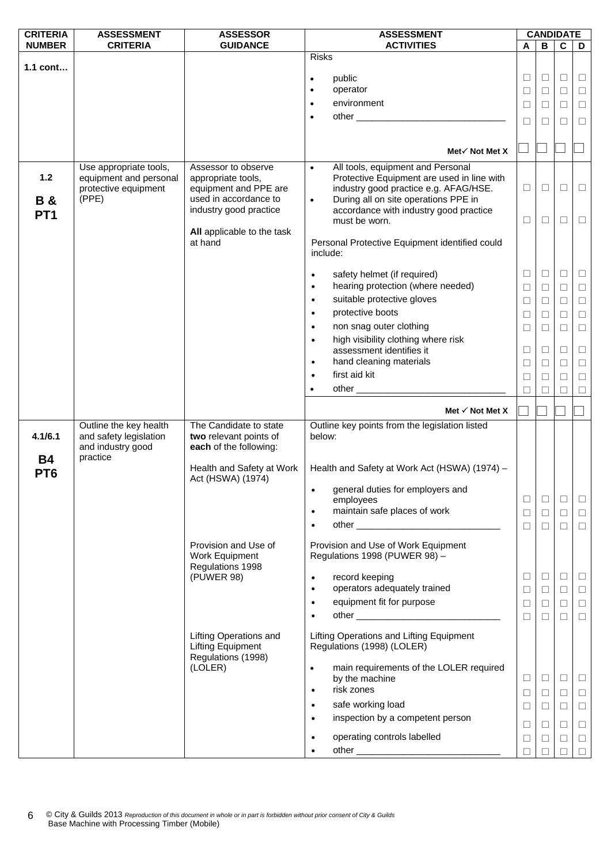| <b>CRITERIA</b>              | <b>ASSESSMENT</b>                                                                 | <b>ASSESSOR</b>                                                                             | <b>ASSESSMENT</b>                                                                                                                                                                          |        |        | <b>CANDIDATE</b> |        |
|------------------------------|-----------------------------------------------------------------------------------|---------------------------------------------------------------------------------------------|--------------------------------------------------------------------------------------------------------------------------------------------------------------------------------------------|--------|--------|------------------|--------|
| <b>NUMBER</b>                | <b>CRITERIA</b>                                                                   | <b>GUIDANCE</b>                                                                             | <b>ACTIVITIES</b>                                                                                                                                                                          | A      | B      | C                | D      |
|                              |                                                                                   |                                                                                             | <b>Risks</b>                                                                                                                                                                               |        |        |                  |        |
| 1.1 cont                     |                                                                                   |                                                                                             | public                                                                                                                                                                                     | $\Box$ | $\Box$ | □                | $\Box$ |
|                              |                                                                                   |                                                                                             | $\bullet$<br>operator<br>$\bullet$                                                                                                                                                         | $\Box$ | $\Box$ | $\Box$           | $\Box$ |
|                              |                                                                                   |                                                                                             | environment                                                                                                                                                                                |        |        |                  |        |
|                              |                                                                                   |                                                                                             | $\bullet$                                                                                                                                                                                  | $\Box$ | $\Box$ | $\Box$           | $\Box$ |
|                              |                                                                                   |                                                                                             | $\bullet$                                                                                                                                                                                  | ⊔      | ⊔      | Ш                | $\Box$ |
|                              |                                                                                   |                                                                                             |                                                                                                                                                                                            |        |        |                  |        |
|                              |                                                                                   |                                                                                             | Met√ Not Met X                                                                                                                                                                             |        |        |                  |        |
|                              |                                                                                   |                                                                                             |                                                                                                                                                                                            |        |        |                  |        |
| $1.2$<br><b>B&amp;</b>       | Use appropriate tools,<br>equipment and personal<br>protective equipment<br>(PPE) | Assessor to observe<br>appropriate tools,<br>equipment and PPE are<br>used in accordance to | All tools, equipment and Personal<br>$\bullet$<br>Protective Equipment are used in line with<br>industry good practice e.g. AFAG/HSE.<br>During all on site operations PPE in<br>$\bullet$ | □      | $\Box$ | $\Box$           | $\Box$ |
| PT <sub>1</sub>              |                                                                                   | industry good practice                                                                      | accordance with industry good practice                                                                                                                                                     |        |        | $\Box$           |        |
|                              |                                                                                   | All applicable to the task                                                                  | must be worn.                                                                                                                                                                              | ⊔      | ⊔      |                  | $\Box$ |
|                              |                                                                                   | at hand                                                                                     | Personal Protective Equipment identified could<br>include:                                                                                                                                 |        |        |                  |        |
|                              |                                                                                   |                                                                                             | safety helmet (if required)<br>$\bullet$                                                                                                                                                   | □      | $\Box$ | $\Box$           | $\Box$ |
|                              |                                                                                   |                                                                                             | hearing protection (where needed)<br>$\bullet$                                                                                                                                             | $\Box$ | $\Box$ | $\Box$           | $\Box$ |
|                              |                                                                                   |                                                                                             | suitable protective gloves<br>$\bullet$                                                                                                                                                    | $\Box$ | $\Box$ | $\Box$           | $\Box$ |
|                              |                                                                                   |                                                                                             | protective boots<br>$\bullet$                                                                                                                                                              | $\Box$ | $\Box$ | $\Box$           | $\Box$ |
|                              |                                                                                   |                                                                                             | non snag outer clothing<br>$\bullet$                                                                                                                                                       | $\Box$ | □      | □                | $\Box$ |
|                              |                                                                                   |                                                                                             | high visibility clothing where risk<br>$\bullet$                                                                                                                                           |        |        |                  |        |
|                              |                                                                                   |                                                                                             | assessment identifies it                                                                                                                                                                   | $\Box$ | $\Box$ | $\Box$           | $\Box$ |
|                              |                                                                                   |                                                                                             | hand cleaning materials<br>$\bullet$                                                                                                                                                       | $\Box$ | $\Box$ | $\Box$           | $\Box$ |
|                              |                                                                                   |                                                                                             | first aid kit<br>$\bullet$                                                                                                                                                                 | $\Box$ | □      | □                | $\Box$ |
|                              |                                                                                   |                                                                                             | other <u>the contract of the contract of</u>                                                                                                                                               | П      | □      | П                | $\Box$ |
|                              |                                                                                   |                                                                                             |                                                                                                                                                                                            |        |        |                  |        |
|                              |                                                                                   |                                                                                             | Met $\checkmark$ Not Met X                                                                                                                                                                 |        |        |                  |        |
| 4.1/6.1                      | Outline the key health<br>and safety legislation<br>and industry good             | The Candidate to state<br>two relevant points of<br>each of the following:                  | Outline key points from the legislation listed<br>below:                                                                                                                                   |        |        |                  |        |
| <b>B4</b><br>PT <sub>6</sub> | practice                                                                          | Health and Safety at Work<br>Act (HSWA) (1974)                                              | Health and Safety at Work Act (HSWA) (1974) -                                                                                                                                              |        |        |                  |        |
|                              |                                                                                   |                                                                                             | general duties for employers and                                                                                                                                                           |        |        |                  |        |
|                              |                                                                                   |                                                                                             | employees                                                                                                                                                                                  | $\Box$ | $\Box$ | □                | $\Box$ |
|                              |                                                                                   |                                                                                             | maintain safe places of work<br>$\bullet$                                                                                                                                                  | $\Box$ | $\Box$ | □                | $\Box$ |
|                              |                                                                                   |                                                                                             | $\bullet$                                                                                                                                                                                  | $\Box$ | $\Box$ | $\Box$           | $\Box$ |
|                              |                                                                                   | Provision and Use of<br>Work Equipment<br>Regulations 1998                                  | Provision and Use of Work Equipment<br>Regulations 1998 (PUWER 98) -                                                                                                                       |        |        |                  |        |
|                              |                                                                                   | (PUWER 98)                                                                                  | record keeping<br>$\bullet$                                                                                                                                                                | □      | $\Box$ | □                | $\Box$ |
|                              |                                                                                   |                                                                                             | operators adequately trained<br>$\bullet$                                                                                                                                                  | $\Box$ | $\Box$ | $\Box$           | $\Box$ |
|                              |                                                                                   |                                                                                             | equipment fit for purpose<br>$\bullet$                                                                                                                                                     | $\Box$ | $\Box$ | $\Box$           | $\Box$ |
|                              |                                                                                   |                                                                                             | $\bullet$                                                                                                                                                                                  | $\Box$ | $\Box$ | □                | $\Box$ |
|                              |                                                                                   | Lifting Operations and<br><b>Lifting Equipment</b><br>Regulations (1998)                    | Lifting Operations and Lifting Equipment<br>Regulations (1998) (LOLER)                                                                                                                     |        |        |                  |        |
|                              |                                                                                   | (LOLER)                                                                                     | main requirements of the LOLER required<br>$\bullet$<br>by the machine<br>risk zones<br>$\bullet$                                                                                          | $\Box$ | $\Box$ | □                | $\Box$ |
|                              |                                                                                   |                                                                                             |                                                                                                                                                                                            | $\Box$ | $\Box$ | $\Box$           | $\Box$ |
|                              |                                                                                   |                                                                                             | safe working load<br>$\bullet$                                                                                                                                                             | □      | $\Box$ | □                | $\Box$ |
|                              |                                                                                   |                                                                                             | inspection by a competent person<br>$\bullet$                                                                                                                                              | $\Box$ | □      | $\Box$           | $\Box$ |
|                              |                                                                                   |                                                                                             | operating controls labelled<br>$\bullet$                                                                                                                                                   | $\Box$ | $\Box$ | $\Box$           | $\Box$ |
|                              |                                                                                   |                                                                                             |                                                                                                                                                                                            | П      |        | П                | $\Box$ |
|                              |                                                                                   |                                                                                             |                                                                                                                                                                                            |        |        |                  |        |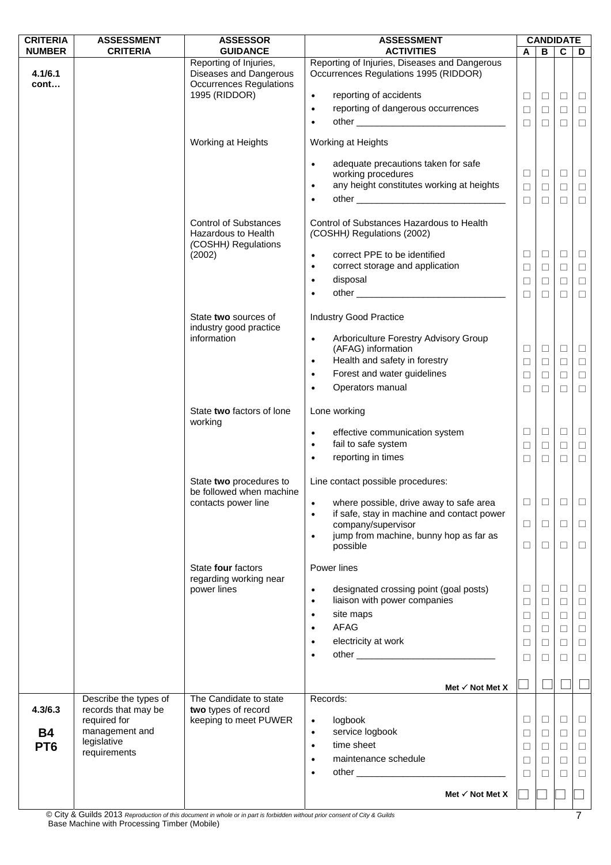| <b>CRITERIA</b> | <b>ASSESSMENT</b>                   | <b>ASSESSOR</b>                                                                    | <b>ASSESSMENT</b>                                                                                                          |                  |             | <b>CANDIDATE</b> |                  |
|-----------------|-------------------------------------|------------------------------------------------------------------------------------|----------------------------------------------------------------------------------------------------------------------------|------------------|-------------|------------------|------------------|
| <b>NUMBER</b>   | <b>CRITERIA</b>                     | <b>GUIDANCE</b>                                                                    | <b>ACTIVITIES</b><br>Reporting of Injuries, Diseases and Dangerous                                                         | A                | B           | $\mathbf c$      | D                |
| 4.1/6.1<br>cont |                                     | Reporting of Injuries,<br>Diseases and Dangerous<br><b>Occurrences Regulations</b> | Occurrences Regulations 1995 (RIDDOR)                                                                                      |                  |             |                  |                  |
|                 |                                     | 1995 (RIDDOR)                                                                      | reporting of accidents<br>$\bullet$                                                                                        | $\Box$           | $\Box$      | $\Box$           | $\Box$           |
|                 |                                     |                                                                                    | reporting of dangerous occurrences<br>$\bullet$                                                                            | $\Box$           | $\Box$      | $\Box$           | $\Box$           |
|                 |                                     |                                                                                    | $\bullet$                                                                                                                  | $\Box$           | $\Box$      | $\Box$           | $\Box$           |
|                 |                                     | Working at Heights                                                                 | Working at Heights                                                                                                         |                  |             |                  |                  |
|                 |                                     |                                                                                    | adequate precautions taken for safe<br>$\bullet$                                                                           | $\Box$           | $\Box$      | $\Box$           | $\Box$           |
|                 |                                     |                                                                                    | working procedures<br>any height constitutes working at heights<br>$\bullet$                                               | $\Box$           | $\Box$      | $\Box$           | $\Box$           |
|                 |                                     |                                                                                    | ٠                                                                                                                          | $\Box$           | $\Box$      | $\Box$           | $\Box$           |
|                 |                                     |                                                                                    |                                                                                                                            |                  |             |                  |                  |
|                 |                                     | <b>Control of Substances</b><br>Hazardous to Health<br>(COSHH) Regulations         | Control of Substances Hazardous to Health<br>(COSHH) Regulations (2002)                                                    |                  |             |                  |                  |
|                 |                                     | (2002)                                                                             | correct PPE to be identified<br>$\bullet$                                                                                  | □                | $\Box$      | $\Box$           | $\Box$           |
|                 |                                     |                                                                                    | correct storage and application<br>$\bullet$                                                                               | $\Box$           | $\Box$      | $\Box$           | $\Box$           |
|                 |                                     |                                                                                    | disposal<br>$\bullet$                                                                                                      | $\Box$           | $\Box$      | $\Box$           | $\Box$           |
|                 |                                     |                                                                                    | other and the contract of the contract of the contract of the contract of the contract of the contract of the<br>$\bullet$ | $\Box$           | $\Box$      | $\Box$           | $\Box$           |
|                 |                                     | State two sources of                                                               | <b>Industry Good Practice</b>                                                                                              |                  |             |                  |                  |
|                 |                                     | industry good practice                                                             |                                                                                                                            |                  |             |                  |                  |
|                 |                                     | information                                                                        | Arboriculture Forestry Advisory Group<br>$\bullet$<br>(AFAG) information                                                   | $\Box$           | $\Box$      | $\Box$           | $\Box$           |
|                 |                                     |                                                                                    | Health and safety in forestry<br>$\bullet$                                                                                 | $\Box$           | $\Box$      | $\Box$           | $\Box$           |
|                 |                                     |                                                                                    | Forest and water guidelines<br>$\bullet$                                                                                   | $\Box$           | $\Box$      | $\Box$           | $\Box$           |
|                 |                                     |                                                                                    | Operators manual<br>$\bullet$                                                                                              | $\Box$           | $\Box$      | $\Box$           | $\Box$           |
|                 |                                     | State two factors of lone<br>working                                               | Lone working                                                                                                               |                  |             |                  |                  |
|                 |                                     |                                                                                    | effective communication system<br>$\bullet$                                                                                | □                | $\Box$      | $\Box$           | $\Box$           |
|                 |                                     |                                                                                    | fail to safe system<br>$\bullet$                                                                                           | □                | $\Box$      | $\Box$           | $\Box$           |
|                 |                                     |                                                                                    | reporting in times                                                                                                         | $\Box$           | $\Box$      | $\Box$           | $\Box$           |
|                 |                                     | State two procedures to<br>be followed when machine                                | Line contact possible procedures:                                                                                          |                  |             |                  |                  |
|                 |                                     | contacts power line                                                                | where possible, drive away to safe area<br>$\bullet$                                                                       | $\Box$           | $\Box$      | □                | $\Box$           |
|                 |                                     |                                                                                    | if safe, stay in machine and contact power<br>$\bullet$<br>company/supervisor                                              | $\Box$           | $\Box$      | $\Box$           | $\Box$           |
|                 |                                     |                                                                                    | jump from machine, bunny hop as far as<br>$\bullet$                                                                        |                  |             |                  |                  |
|                 |                                     |                                                                                    | possible                                                                                                                   | $\Box$           | $\Box$      | $\Box$           | $\Box$           |
|                 |                                     | State four factors<br>regarding working near                                       | Power lines                                                                                                                |                  |             |                  |                  |
|                 |                                     | power lines                                                                        | designated crossing point (goal posts)<br>$\bullet$<br>liaison with power companies                                        | $\Box$           | $\Box$      | $\Box$           | $\Box$           |
|                 |                                     |                                                                                    | $\bullet$<br>site maps<br>$\bullet$                                                                                        | $\Box$           | $\Box$      | $\Box$           | $\Box$           |
|                 |                                     |                                                                                    | AFAG<br>$\bullet$                                                                                                          | $\Box$           | $\Box$      | $\Box$<br>$\Box$ | $\Box$           |
|                 |                                     |                                                                                    | electricity at work<br>$\bullet$                                                                                           | $\Box$<br>$\Box$ | $\Box$<br>□ | $\Box$           | $\Box$<br>$\Box$ |
|                 |                                     |                                                                                    |                                                                                                                            | □                |             | □                | $\Box$           |
|                 |                                     |                                                                                    |                                                                                                                            |                  | ⊔           |                  |                  |
|                 |                                     |                                                                                    | Met $\checkmark$ Not Met X                                                                                                 |                  |             |                  |                  |
|                 | Describe the types of               | The Candidate to state                                                             | Records:                                                                                                                   |                  |             |                  |                  |
| 4.3/6.3         | records that may be<br>required for | two types of record<br>keeping to meet PUWER                                       | logbook<br>$\bullet$                                                                                                       | □                | $\Box$      | $\Box$           | $\Box$           |
| <b>B4</b>       | management and                      |                                                                                    | service logbook<br>$\bullet$                                                                                               | $\Box$           | $\Box$      | $\Box$           | $\Box$           |
| PT <sub>6</sub> | legislative                         |                                                                                    | time sheet<br>$\bullet$                                                                                                    | □                | $\Box$      | $\Box$           | $\Box$           |
|                 | requirements                        |                                                                                    | maintenance schedule<br>$\bullet$                                                                                          | $\Box$           | $\Box$      | $\Box$           | $\Box$           |
|                 |                                     |                                                                                    | $\bullet$                                                                                                                  | □                |             | □                | $\Box$           |
|                 |                                     |                                                                                    | Met $\checkmark$ Not Met X                                                                                                 |                  |             |                  |                  |
|                 |                                     |                                                                                    |                                                                                                                            |                  |             |                  |                  |

© City & Guilds 2013 *Reproduction of this document in whole or in part is forbidden without prior consent of City & Guilds*  Base Machine with Processing Timber (Mobile)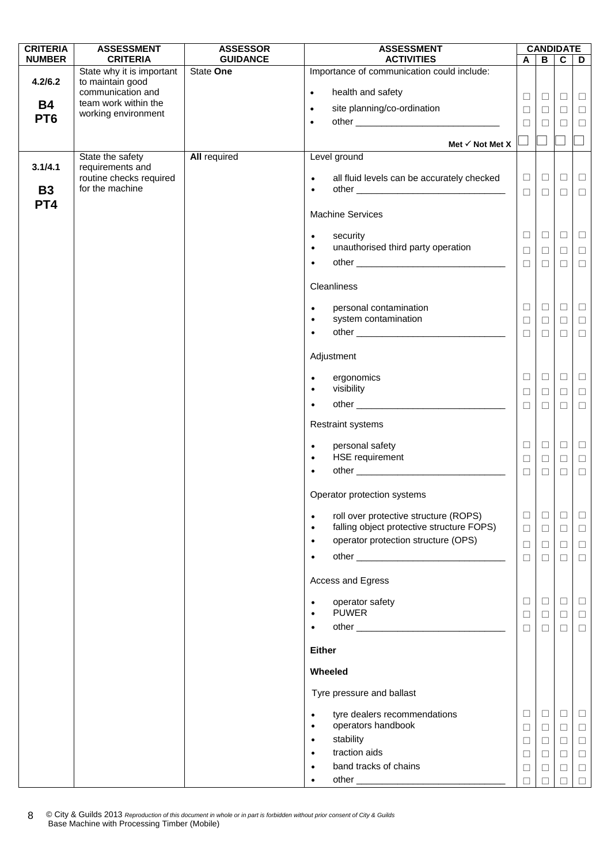| <b>CRITERIA</b>      | <b>ASSESSMENT</b>                                              | <b>ASSESSOR</b>              | <b>ASSESSMENT</b>                                                                                            |                  |                  | <b>CANDIDATE</b> |                  |
|----------------------|----------------------------------------------------------------|------------------------------|--------------------------------------------------------------------------------------------------------------|------------------|------------------|------------------|------------------|
| <b>NUMBER</b>        | <b>CRITERIA</b><br>State why it is important                   | <b>GUIDANCE</b><br>State One | <b>ACTIVITIES</b><br>Importance of communication could include:                                              | $\mathbf{A}$     | B                | $\mathbf{C}$     | D                |
| 4.2/6.2              | to maintain good<br>communication and                          |                              | health and safety<br>$\bullet$                                                                               | $\Box$           | $\Box$           | $\Box$           | $\Box$           |
| <b>B4</b>            | team work within the                                           |                              | site planning/co-ordination<br>$\bullet$                                                                     | $\Box$           | $\Box$           | $\Box$           | $\Box$           |
| PT <sub>6</sub>      | working environment                                            |                              | $\bullet$                                                                                                    | $\Box$           | $\Box$           | $\Box$           | $\Box$           |
|                      |                                                                |                              | Met $\checkmark$ Not Met X                                                                                   |                  |                  |                  |                  |
|                      | State the safety                                               | <b>All required</b>          | Level ground                                                                                                 |                  |                  |                  |                  |
| 3.1/4.1<br><b>B3</b> | requirements and<br>routine checks required<br>for the machine |                              | all fluid levels can be accurately checked<br>$\bullet$<br>$\bullet$                                         | $\Box$<br>$\Box$ | $\Box$<br>$\Box$ | $\Box$<br>$\Box$ | $\Box$<br>$\Box$ |
| PT4                  |                                                                |                              | <b>Machine Services</b>                                                                                      |                  |                  |                  |                  |
|                      |                                                                |                              | security<br>$\bullet$                                                                                        | $\Box$           | $\Box$           | $\Box$           | $\Box$           |
|                      |                                                                |                              | unauthorised third party operation<br>$\bullet$                                                              | $\Box$           | $\Box$           | $\Box$           | $\Box$           |
|                      |                                                                |                              | $\bullet$                                                                                                    | $\Box$           | $\Box$           | $\Box$           | $\Box$           |
|                      |                                                                |                              | Cleanliness                                                                                                  |                  |                  |                  |                  |
|                      |                                                                |                              | personal contamination<br>$\bullet$<br>system contamination<br>$\bullet$                                     | $\Box$<br>$\Box$ | $\Box$<br>$\Box$ | $\Box$<br>□      | $\Box$<br>$\Box$ |
|                      |                                                                |                              | $\bullet$                                                                                                    | $\Box$           | $\Box$           | $\Box$           | $\Box$           |
|                      |                                                                |                              | Adjustment                                                                                                   |                  |                  |                  |                  |
|                      |                                                                |                              | ergonomics<br>$\bullet$                                                                                      | $\Box$           | $\Box$           | $\Box$           | $\Box$           |
|                      |                                                                |                              | visibility<br>$\bullet$                                                                                      | $\Box$           | $\Box$           | $\Box$           | $\Box$           |
|                      |                                                                |                              |                                                                                                              | $\Box$           | $\Box$           | $\Box$           | $\Box$           |
|                      |                                                                |                              | <b>Restraint systems</b>                                                                                     |                  |                  |                  |                  |
|                      |                                                                |                              | personal safety<br>$\bullet$<br>HSE requirement<br>$\bullet$                                                 | $\Box$<br>$\Box$ | $\Box$<br>$\Box$ | $\Box$<br>$\Box$ | $\Box$<br>$\Box$ |
|                      |                                                                |                              | $\bullet$                                                                                                    | $\Box$           | $\Box$           | $\Box$           | $\Box$           |
|                      |                                                                |                              | Operator protection systems                                                                                  |                  |                  |                  |                  |
|                      |                                                                |                              | roll over protective structure (ROPS)<br>$\bullet$<br>falling object protective structure FOPS)<br>$\bullet$ | $\Box$<br>$\Box$ | $\Box$<br>$\Box$ | $\Box$<br>$\Box$ | $\Box$<br>$\Box$ |
|                      |                                                                |                              | operator protection structure (OPS)<br>$\bullet$                                                             | $\Box$           | $\Box$           | $\Box$           | $\Box$           |
|                      |                                                                |                              |                                                                                                              | $\Box$           | $\Box$           | □                | $\Box$           |
|                      |                                                                |                              | Access and Egress                                                                                            |                  |                  |                  |                  |
|                      |                                                                |                              | operator safety<br>$\bullet$                                                                                 | $\Box$           | $\Box$           | $\Box$           | $\sqcup$         |
|                      |                                                                |                              | <b>PUWER</b><br>$\bullet$                                                                                    | $\Box$           | $\Box$           | $\Box$           | $\Box$           |
|                      |                                                                |                              |                                                                                                              | $\Box$           | $\Box$           | $\Box$           | $\Box$           |
|                      |                                                                |                              | <b>Either</b>                                                                                                |                  |                  |                  |                  |
|                      |                                                                |                              | Wheeled                                                                                                      |                  |                  |                  |                  |
|                      |                                                                |                              | Tyre pressure and ballast                                                                                    |                  |                  |                  |                  |
|                      |                                                                |                              | tyre dealers recommendations<br>$\bullet$<br>operators handbook<br>$\bullet$                                 | $\Box$<br>$\Box$ | $\Box$<br>$\Box$ | $\Box$<br>$\Box$ | $\Box$<br>$\Box$ |
|                      |                                                                |                              | stability<br>$\bullet$                                                                                       | $\Box$           | $\Box$           | $\Box$           | $\Box$           |
|                      |                                                                |                              | traction aids<br>band tracks of chains                                                                       | $\Box$           | $\Box$           | $\Box$           | $\Box$           |
|                      |                                                                |                              |                                                                                                              | □<br>П           | ⊔                | $\Box$           | $\Box$           |

© City & Guilds 2013 *Reproduction of this document in whole or in part is forbidden without prior consent of City & Guilds*  Base Machine with Processing Timber (Mobile) 8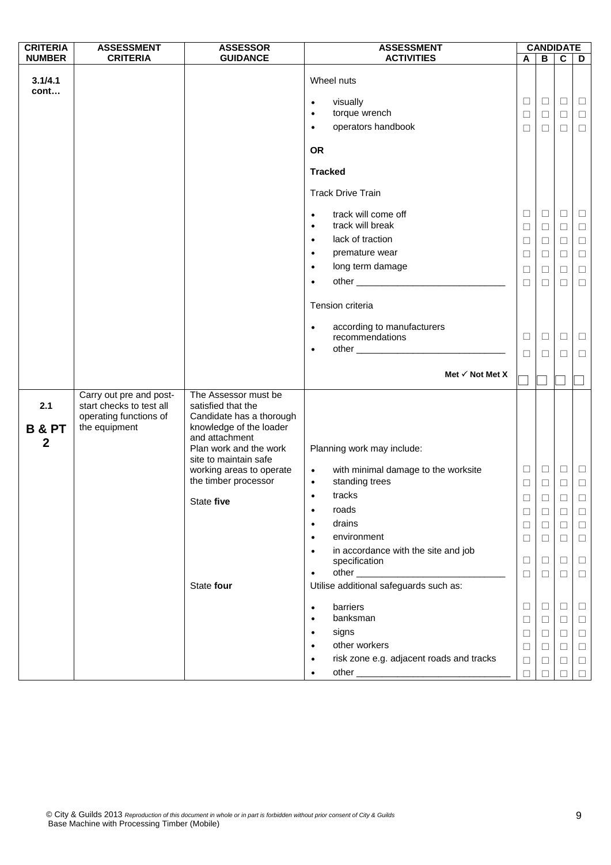| <b>CRITERIA</b>                              | <b>ASSESSMENT</b>                                                                              | <b>ASSESSOR</b>                                                                                                                                                        | <b>ASSESSMENT</b>                                                                                                 |                                        |                            | <b>CANDIDATE</b>           |                            |
|----------------------------------------------|------------------------------------------------------------------------------------------------|------------------------------------------------------------------------------------------------------------------------------------------------------------------------|-------------------------------------------------------------------------------------------------------------------|----------------------------------------|----------------------------|----------------------------|----------------------------|
| <b>NUMBER</b>                                | <b>CRITERIA</b>                                                                                | <b>GUIDANCE</b>                                                                                                                                                        | <b>ACTIVITIES</b>                                                                                                 | A                                      | B                          | $\mathbf c$                | D                          |
| 3.1/4.1<br>cont                              |                                                                                                |                                                                                                                                                                        | Wheel nuts<br>visually<br>$\bullet$<br>torque wrench<br>$\bullet$<br>operators handbook<br>$\bullet$<br><b>OR</b> | $\Box$<br>$\Box$<br>$\Box$             | $\Box$<br>$\Box$<br>$\Box$ | $\Box$<br>$\Box$<br>$\Box$ | $\Box$<br>$\Box$<br>$\Box$ |
|                                              |                                                                                                |                                                                                                                                                                        | <b>Tracked</b>                                                                                                    |                                        |                            |                            |                            |
|                                              |                                                                                                |                                                                                                                                                                        | <b>Track Drive Train</b>                                                                                          |                                        |                            |                            |                            |
|                                              |                                                                                                |                                                                                                                                                                        | track will come off<br>$\bullet$<br>track will break<br>$\bullet$                                                 | $\Box$<br>$\Box$                       | $\Box$<br>$\Box$           | $\Box$<br>$\Box$           | $\Box$<br>$\Box$           |
|                                              |                                                                                                |                                                                                                                                                                        | lack of traction<br>$\bullet$                                                                                     | $\Box$                                 | $\Box$                     | $\Box$                     | $\Box$                     |
|                                              |                                                                                                |                                                                                                                                                                        | premature wear<br>$\bullet$                                                                                       | $\Box$                                 | $\Box$                     | $\Box$                     | $\Box$                     |
|                                              |                                                                                                |                                                                                                                                                                        | long term damage<br>$\bullet$                                                                                     | $\Box$                                 | $\Box$                     | $\Box$                     | $\Box$                     |
|                                              |                                                                                                |                                                                                                                                                                        | $\bullet$                                                                                                         | $\Box$                                 | $\Box$                     | $\Box$                     | $\Box$                     |
|                                              |                                                                                                |                                                                                                                                                                        | Tension criteria                                                                                                  |                                        |                            |                            |                            |
|                                              |                                                                                                |                                                                                                                                                                        | according to manufacturers<br>$\bullet$                                                                           |                                        |                            |                            |                            |
|                                              |                                                                                                |                                                                                                                                                                        | recommendations                                                                                                   | □                                      | $\Box$                     | ⊔                          | $\Box$                     |
|                                              |                                                                                                |                                                                                                                                                                        | $\bullet$                                                                                                         | $\Box$                                 | $\Box$                     | $\Box$                     | $\Box$                     |
|                                              |                                                                                                |                                                                                                                                                                        | Met $\checkmark$ Not Met X                                                                                        |                                        |                            |                            |                            |
| 2.1<br><b>B &amp; PT</b><br>$\boldsymbol{2}$ | Carry out pre and post-<br>start checks to test all<br>operating functions of<br>the equipment | The Assessor must be<br>satisfied that the<br>Candidate has a thorough<br>knowledge of the loader<br>and attachment<br>Plan work and the work<br>site to maintain safe | Planning work may include:                                                                                        |                                        |                            |                            |                            |
|                                              |                                                                                                | working areas to operate                                                                                                                                               | with minimal damage to the worksite<br>$\bullet$                                                                  | $\Box$                                 | $\Box$                     | $\Box$                     | $\Box$                     |
|                                              |                                                                                                | the timber processor                                                                                                                                                   | standing trees<br>$\bullet$                                                                                       | $\Box$                                 | $\Box$                     | $\Box$                     | $\Box$                     |
|                                              |                                                                                                | State five                                                                                                                                                             | tracks<br>$\bullet$                                                                                               | $\begin{array}{c} \square \end{array}$ | $\Box$                     | $\Box$                     | $\Box$                     |
|                                              |                                                                                                |                                                                                                                                                                        | roads<br>$\bullet$                                                                                                | $\Box$                                 | $\Box$                     | □                          | $\Box$                     |
|                                              |                                                                                                |                                                                                                                                                                        | drains<br>$\bullet$                                                                                               | $\Box$                                 | $\Box$                     | $\Box$                     | $\Box$                     |
|                                              |                                                                                                |                                                                                                                                                                        | environment<br>$\bullet$                                                                                          | $\Box$                                 | $\Box$                     | $\Box$                     | $\Box$                     |
|                                              |                                                                                                |                                                                                                                                                                        | in accordance with the site and job<br>$\bullet$<br>specification                                                 | $\Box$                                 | $\Box$                     | □                          | $\Box$                     |
|                                              |                                                                                                |                                                                                                                                                                        | $\bullet$                                                                                                         | □                                      | $\Box$                     | □                          | $\Box$                     |
|                                              |                                                                                                | State four                                                                                                                                                             | Utilise additional safeguards such as:                                                                            |                                        |                            |                            |                            |
|                                              |                                                                                                |                                                                                                                                                                        | barriers<br>$\bullet$                                                                                             | $\Box$                                 | $\Box$                     | $\Box$                     | $\Box$                     |
|                                              |                                                                                                |                                                                                                                                                                        | banksman<br>$\bullet$                                                                                             | $\Box$                                 | $\Box$                     | $\Box$                     | $\Box$                     |
|                                              |                                                                                                |                                                                                                                                                                        | signs<br>$\bullet$                                                                                                | $\Box$                                 | $\Box$                     | $\Box$                     | $\Box$                     |
|                                              |                                                                                                |                                                                                                                                                                        | other workers<br>$\bullet$                                                                                        | $\Box$                                 | $\Box$                     | $\Box$                     | $\Box$                     |
|                                              |                                                                                                |                                                                                                                                                                        | risk zone e.g. adjacent roads and tracks<br>$\bullet$                                                             | $\Box$                                 | $\Box$                     | $\Box$                     | $\Box$                     |
|                                              |                                                                                                |                                                                                                                                                                        | $\bullet$                                                                                                         | $\Box$                                 | $\Box$                     | □                          | $\Box$                     |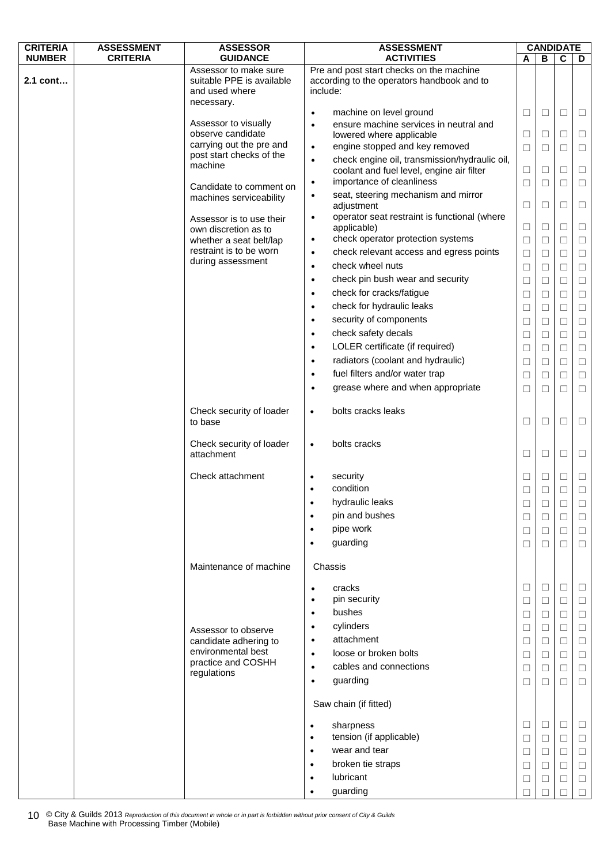| <b>CRITERIA</b> | <b>ASSESSMENT</b> | <b>ASSESSOR</b>                                    | <b>ASSESSMENT</b>                                          |        |        | <b>CANDIDATE</b> |        |  |
|-----------------|-------------------|----------------------------------------------------|------------------------------------------------------------|--------|--------|------------------|--------|--|
| <b>NUMBER</b>   | <b>CRITERIA</b>   | <b>GUIDANCE</b>                                    | <b>ACTIVITIES</b>                                          | A      | в      | $\mathbf c$      | D      |  |
|                 |                   | Assessor to make sure                              | Pre and post start checks on the machine                   |        |        |                  |        |  |
| 2.1 cont        |                   | suitable PPE is available                          | according to the operators handbook and to                 |        |        |                  |        |  |
|                 |                   | and used where<br>necessary.                       | include:                                                   |        |        |                  |        |  |
|                 |                   |                                                    | machine on level ground<br>$\bullet$                       | $\Box$ | $\Box$ | $\Box$           | $\Box$ |  |
|                 |                   | Assessor to visually                               | ensure machine services in neutral and<br>$\bullet$        |        |        |                  |        |  |
|                 |                   | observe candidate                                  | lowered where applicable                                   | $\Box$ | $\Box$ | $\Box$           | $\Box$ |  |
|                 |                   | carrying out the pre and                           | engine stopped and key removed<br>$\bullet$                | $\Box$ | □      | $\Box$           | $\Box$ |  |
|                 |                   | post start checks of the                           | check engine oil, transmission/hydraulic oil,<br>$\bullet$ |        |        |                  |        |  |
|                 |                   | machine                                            | coolant and fuel level, engine air filter                  | $\Box$ | $\Box$ | $\Box$           | $\Box$ |  |
|                 |                   |                                                    | importance of cleanliness<br>$\bullet$                     | ⊔      | □      | □                | □      |  |
|                 |                   | Candidate to comment on<br>machines serviceability | seat, steering mechanism and mirror<br>$\bullet$           |        |        |                  |        |  |
|                 |                   |                                                    | adjustment                                                 | $\Box$ | $\Box$ | $\Box$           | $\Box$ |  |
|                 |                   | Assessor is to use their                           | operator seat restraint is functional (where<br>$\bullet$  |        |        |                  |        |  |
|                 |                   | own discretion as to                               | applicable)                                                | $\Box$ | $\Box$ | $\Box$           | $\Box$ |  |
|                 |                   | whether a seat belt/lap                            | check operator protection systems<br>$\bullet$             | $\Box$ | $\Box$ | $\Box$           | $\Box$ |  |
|                 |                   | restraint is to be worn                            | check relevant access and egress points<br>$\bullet$       | $\Box$ | $\Box$ | $\Box$           | $\Box$ |  |
|                 |                   | during assessment                                  | check wheel nuts<br>$\bullet$                              | $\Box$ | $\Box$ | $\Box$           | $\Box$ |  |
|                 |                   |                                                    | check pin bush wear and security<br>$\bullet$              | □      | $\Box$ | $\Box$           | $\Box$ |  |
|                 |                   |                                                    | check for cracks/fatigue<br>$\bullet$                      | $\Box$ | $\Box$ | $\Box$           | $\Box$ |  |
|                 |                   |                                                    | check for hydraulic leaks<br>$\bullet$                     | $\Box$ | $\Box$ | $\Box$           | $\Box$ |  |
|                 |                   |                                                    | security of components<br>$\bullet$                        |        |        |                  |        |  |
|                 |                   |                                                    |                                                            | $\Box$ | $\Box$ | $\Box$           | $\Box$ |  |
|                 |                   |                                                    | check safety decals<br>$\bullet$                           | $\Box$ | $\Box$ | $\Box$           | $\Box$ |  |
|                 |                   |                                                    | LOLER certificate (if required)<br>$\bullet$               | $\Box$ | $\Box$ | $\Box$           | $\Box$ |  |
|                 |                   |                                                    | radiators (coolant and hydraulic)<br>$\bullet$             | □      | $\Box$ | $\Box$           | $\Box$ |  |
|                 |                   |                                                    | fuel filters and/or water trap<br>$\bullet$                | $\Box$ | $\Box$ | $\Box$           | $\Box$ |  |
|                 |                   |                                                    | grease where and when appropriate<br>$\bullet$             | $\Box$ | $\Box$ | $\Box$           | $\Box$ |  |
|                 |                   |                                                    |                                                            |        |        |                  |        |  |
|                 |                   | Check security of loader                           | bolts cracks leaks<br>$\bullet$                            |        |        |                  |        |  |
|                 |                   | to base                                            |                                                            | $\Box$ | $\Box$ | $\Box$           | $\Box$ |  |
|                 |                   |                                                    |                                                            |        |        |                  |        |  |
|                 |                   | Check security of loader<br>attachment             | bolts cracks<br>$\bullet$                                  | □      | □      | □                | □      |  |
|                 |                   |                                                    |                                                            |        |        |                  |        |  |
|                 |                   | Check attachment                                   | security                                                   | □      | $\Box$ | $\Box$           | $\Box$ |  |
|                 |                   |                                                    | condition                                                  | $\Box$ | $\Box$ | $\Box$           | $\Box$ |  |
|                 |                   |                                                    | hydraulic leaks                                            |        |        |                  |        |  |
|                 |                   |                                                    | pin and bushes<br>$\bullet$                                |        | Ц      |                  |        |  |
|                 |                   |                                                    |                                                            | $\Box$ | $\Box$ | $\Box$           | □      |  |
|                 |                   |                                                    | pipe work<br>$\bullet$                                     | $\Box$ | □      | $\Box$           | $\Box$ |  |
|                 |                   |                                                    | guarding                                                   | $\Box$ | $\Box$ | $\Box$           | $\Box$ |  |
|                 |                   |                                                    |                                                            |        |        |                  |        |  |
|                 |                   | Maintenance of machine                             | Chassis                                                    |        |        |                  |        |  |
|                 |                   |                                                    | cracks<br>$\bullet$                                        | $\Box$ | $\Box$ | $\Box$           | $\Box$ |  |
|                 |                   |                                                    | pin security<br>$\bullet$                                  | $\Box$ | $\Box$ | $\Box$           | $\Box$ |  |
|                 |                   |                                                    | bushes<br>$\bullet$                                        | ⊔      | L      | □                | $\Box$ |  |
|                 |                   |                                                    | cylinders<br>$\bullet$                                     |        |        |                  |        |  |
|                 |                   | Assessor to observe                                | attachment                                                 | $\Box$ | □      | $\Box$           | $\Box$ |  |
|                 |                   | candidate adhering to<br>environmental best        | $\bullet$                                                  | □      | □      | $\Box$           | $\Box$ |  |
|                 |                   | practice and COSHH                                 | loose or broken bolts<br>$\bullet$                         | $\Box$ | $\Box$ | $\Box$           | $\Box$ |  |
|                 |                   | regulations                                        | cables and connections<br>$\bullet$                        | $\Box$ | $\Box$ | $\Box$           | $\Box$ |  |
|                 |                   |                                                    | guarding<br>$\bullet$                                      | $\Box$ | П      | $\Box$           | $\Box$ |  |
|                 |                   |                                                    | Saw chain (if fitted)                                      |        |        |                  |        |  |
|                 |                   |                                                    |                                                            |        | $\Box$ | $\Box$           | □      |  |
|                 |                   |                                                    | sharpness<br>$\bullet$<br>tension (if applicable)<br>٠     | ⊔      |        |                  |        |  |
|                 |                   |                                                    |                                                            | $\Box$ | $\Box$ | $\Box$           | $\Box$ |  |
|                 |                   |                                                    | wear and tear<br>$\bullet$                                 | $\Box$ | $\Box$ | $\Box$           | $\Box$ |  |
|                 |                   |                                                    | broken tie straps<br>$\bullet$                             | □      | □      | $\Box$           | $\Box$ |  |
|                 |                   |                                                    | lubricant<br>$\bullet$                                     | $\Box$ | $\Box$ | $\Box$           | $\Box$ |  |
|                 |                   |                                                    | guarding                                                   |        |        |                  | П      |  |

© City & Guilds 2013 *Reproduction of this document in whole or in part is forbidden without prior consent of City & Guilds*  10 © City & Guilds 2013 Reproduction of this document in v<br>Base Machine with Processing Timber (Mobile)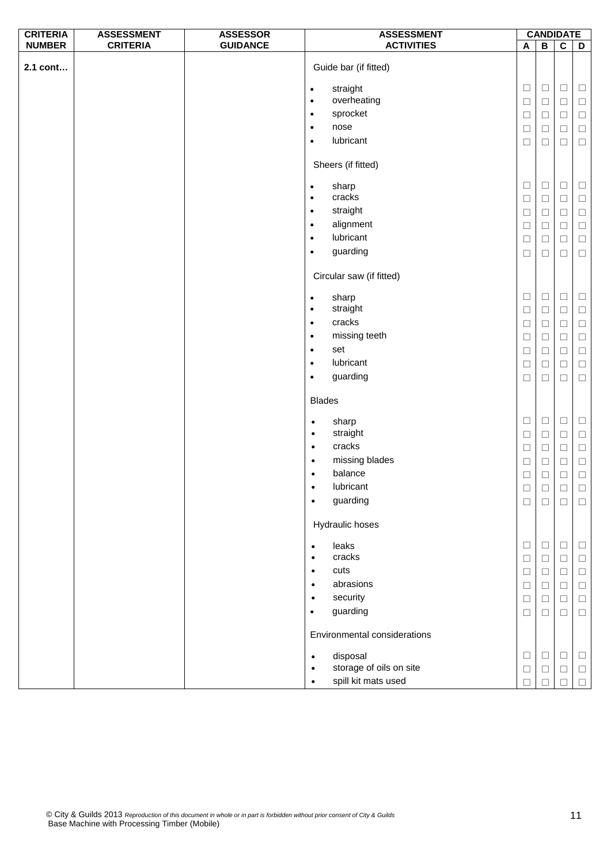| <b>CRITERIA</b> | <b>ASSESSMENT</b> | <b>ASSESSOR</b> | <b>ASSESSMENT</b>                                             |        | <b>CANDIDATE</b> |                  |        |  |  |  |
|-----------------|-------------------|-----------------|---------------------------------------------------------------|--------|------------------|------------------|--------|--|--|--|
| <b>NUMBER</b>   | <b>CRITERIA</b>   | <b>GUIDANCE</b> | <b>ACTIVITIES</b>                                             | A      | $\overline{B}$   | $\overline{c}$   | D      |  |  |  |
| 2.1 cont        |                   |                 | Guide bar (if fitted)                                         |        |                  |                  |        |  |  |  |
|                 |                   |                 | straight<br>$\bullet$                                         | $\Box$ | $\Box$           | $\Box$           | $\Box$ |  |  |  |
|                 |                   |                 | overheating<br>$\bullet$                                      | $\Box$ | $\Box$           | $\Box$           | $\Box$ |  |  |  |
|                 |                   |                 | sprocket<br>$\bullet$                                         | $\Box$ | $\Box$           | $\Box$           | $\Box$ |  |  |  |
|                 |                   |                 | nose<br>$\bullet$                                             | $\Box$ | $\Box$           | $\Box$           | $\Box$ |  |  |  |
|                 |                   |                 | lubricant<br>$\bullet$                                        |        |                  |                  |        |  |  |  |
|                 |                   |                 |                                                               | $\Box$ | $\Box$           | $\Box$           | $\Box$ |  |  |  |
|                 |                   |                 | Sheers (if fitted)                                            |        |                  |                  |        |  |  |  |
|                 |                   |                 | sharp<br>$\bullet$                                            | $\Box$ | $\Box$           | $\Box$           | $\Box$ |  |  |  |
|                 |                   |                 | cracks<br>$\bullet$                                           | $\Box$ | $\Box$           | $\hfill \square$ | $\Box$ |  |  |  |
|                 |                   |                 | straight<br>$\bullet$                                         | $\Box$ | $\Box$           | $\Box$           | $\Box$ |  |  |  |
|                 |                   |                 | alignment<br>$\bullet$                                        | $\Box$ | $\Box$           | $\Box$           | $\Box$ |  |  |  |
|                 |                   |                 | lubricant<br>$\bullet$                                        | $\Box$ | $\Box$           | $\Box$           | $\Box$ |  |  |  |
|                 |                   |                 | guarding<br>$\bullet$                                         | $\Box$ | $\Box$           | $\Box$           | $\Box$ |  |  |  |
|                 |                   |                 | Circular saw (if fitted)                                      |        |                  |                  |        |  |  |  |
|                 |                   |                 |                                                               | $\Box$ | $\Box$           | $\Box$           | $\Box$ |  |  |  |
|                 |                   |                 | sharp<br>$\bullet$<br>straight<br>$\bullet$                   |        | $\Box$           |                  |        |  |  |  |
|                 |                   |                 | cracks<br>$\bullet$                                           | $\Box$ |                  | $\Box$           | $\Box$ |  |  |  |
|                 |                   |                 |                                                               | $\Box$ | $\Box$           | $\Box$           | $\Box$ |  |  |  |
|                 |                   |                 | missing teeth<br>$\bullet$                                    | $\Box$ | $\Box$           | $\Box$           | $\Box$ |  |  |  |
|                 |                   |                 | set<br>$\bullet$                                              | $\Box$ | $\Box$           | $\Box$           | $\Box$ |  |  |  |
|                 |                   |                 | lubricant<br>$\bullet$                                        | $\Box$ | $\Box$           | $\Box$           | $\Box$ |  |  |  |
|                 |                   |                 | guarding<br>$\bullet$                                         | $\Box$ | $\Box$           | $\Box$           | $\Box$ |  |  |  |
|                 |                   |                 | <b>Blades</b>                                                 |        |                  |                  |        |  |  |  |
|                 |                   |                 | sharp<br>$\bullet$                                            | $\Box$ | $\Box$           | $\Box$           | $\Box$ |  |  |  |
|                 |                   |                 | straight<br>$\bullet$                                         | $\Box$ | $\Box$           | $\Box$           | $\Box$ |  |  |  |
|                 |                   |                 | cracks<br>$\bullet$                                           | $\Box$ | $\Box$           | $\Box$           | $\Box$ |  |  |  |
|                 |                   |                 | missing blades<br>$\bullet$                                   | $\Box$ | $\Box$           | $\Box$           | $\Box$ |  |  |  |
|                 |                   |                 | balance<br>$\bullet$                                          | $\Box$ | $\Box$           | $\Box$           | $\Box$ |  |  |  |
|                 |                   |                 | lubricant                                                     | $\Box$ | $\hfill\square$  | $\Box$           | $\Box$ |  |  |  |
|                 |                   |                 | guarding<br>$\bullet$                                         | $\Box$ | $\Box$           | $\Box$           | $\Box$ |  |  |  |
|                 |                   |                 | Hydraulic hoses                                               |        |                  |                  |        |  |  |  |
|                 |                   |                 |                                                               |        |                  |                  |        |  |  |  |
|                 |                   |                 | leaks<br>$\bullet$<br>cracks                                  | $\Box$ | $\Box$           | $\Box$           | $\Box$ |  |  |  |
|                 |                   |                 | $\bullet$                                                     | $\Box$ | $\Box$           | $\Box$           | $\Box$ |  |  |  |
|                 |                   |                 | cuts<br>$\bullet$                                             | $\Box$ | $\Box$           | $\Box$           | $\Box$ |  |  |  |
|                 |                   |                 | abrasions<br>$\bullet$                                        | $\Box$ | $\Box$           | $\Box$           | $\Box$ |  |  |  |
|                 |                   |                 | security<br>$\bullet$                                         | $\Box$ | $\Box$           | $\Box$           | $\Box$ |  |  |  |
|                 |                   |                 | guarding<br>$\bullet$                                         | $\Box$ | $\Box$           | $\Box$           | $\Box$ |  |  |  |
|                 |                   |                 | Environmental considerations                                  | $\Box$ | $\Box$           | $\Box$           | $\Box$ |  |  |  |
|                 |                   |                 | disposal<br>$\bullet$<br>storage of oils on site<br>$\bullet$ |        |                  |                  |        |  |  |  |
|                 |                   |                 | spill kit mats used<br>$\bullet$                              | $\Box$ | $\Box$           | $\Box$           | $\Box$ |  |  |  |
|                 |                   |                 |                                                               | $\Box$ | П                | $\Box$           | $\Box$ |  |  |  |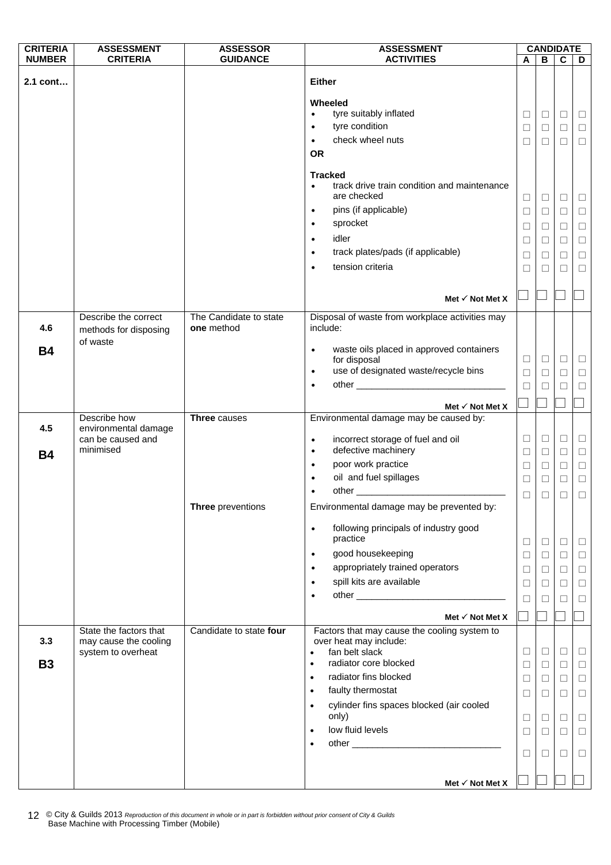| <b>CRITERIA</b><br><b>ASSESSMENT</b><br><b>ASSESSMENT</b><br><b>ASSESSOR</b>                                                                                |        |        | <b>CANDIDATE</b> |        |
|-------------------------------------------------------------------------------------------------------------------------------------------------------------|--------|--------|------------------|--------|
| <b>CRITERIA</b><br><b>NUMBER</b><br><b>GUIDANCE</b><br><b>ACTIVITIES</b>                                                                                    | A      | B      | $\mathbf c$      | D      |
| <b>Either</b><br>2.1 cont                                                                                                                                   |        |        |                  |        |
|                                                                                                                                                             |        |        |                  |        |
| Wheeled                                                                                                                                                     |        |        |                  |        |
| tyre suitably inflated<br>$\bullet$                                                                                                                         | $\Box$ | $\Box$ | $\Box$           | $\Box$ |
| tyre condition<br>$\bullet$<br>check wheel nuts                                                                                                             | $\Box$ | $\Box$ | $\Box$           | $\Box$ |
| $\bullet$<br><b>OR</b>                                                                                                                                      | $\Box$ | $\Box$ | $\Box$           | $\Box$ |
|                                                                                                                                                             |        |        |                  |        |
| <b>Tracked</b>                                                                                                                                              |        |        |                  |        |
| track drive train condition and maintenance<br>$\bullet$                                                                                                    |        |        |                  |        |
| are checked                                                                                                                                                 | $\Box$ | $\Box$ | $\Box$           | $\Box$ |
| pins (if applicable)<br>$\bullet$                                                                                                                           | $\Box$ | $\Box$ | □                | $\Box$ |
| sprocket<br>$\bullet$                                                                                                                                       | $\Box$ | $\Box$ | $\Box$           | $\Box$ |
| idler<br>$\bullet$                                                                                                                                          | $\Box$ | $\Box$ | $\Box$           | $\Box$ |
| track plates/pads (if applicable)<br>$\bullet$                                                                                                              | $\Box$ | $\Box$ | $\Box$           | $\Box$ |
| tension criteria<br>$\bullet$                                                                                                                               | $\Box$ | $\Box$ | $\Box$           | $\Box$ |
|                                                                                                                                                             |        |        |                  |        |
| Met $\checkmark$ Not Met X                                                                                                                                  |        |        |                  |        |
| Describe the correct<br>The Candidate to state<br>Disposal of waste from workplace activities may                                                           |        |        |                  |        |
| include:<br>4.6<br>one method<br>methods for disposing                                                                                                      |        |        |                  |        |
| of waste                                                                                                                                                    |        |        |                  |        |
| waste oils placed in approved containers<br><b>B4</b><br>$\bullet$<br>for disposal                                                                          | $\Box$ | $\Box$ | $\Box$           | $\Box$ |
| use of designated waste/recycle bins<br>$\bullet$                                                                                                           | $\Box$ | $\Box$ | $\Box$           | $\Box$ |
| $\bullet$                                                                                                                                                   | $\Box$ | $\Box$ | □                | $\Box$ |
|                                                                                                                                                             |        |        |                  |        |
| Met $\checkmark$ Not Met X<br>Environmental damage may be caused by:<br>Three causes<br>Describe how                                                        |        |        |                  |        |
| 4.5<br>environmental damage                                                                                                                                 |        |        |                  |        |
| can be caused and<br>incorrect storage of fuel and oil<br>$\bullet$                                                                                         | $\Box$ | $\Box$ | $\Box$           | $\Box$ |
| minimised<br>defective machinery<br>$\bullet$<br><b>B4</b>                                                                                                  | $\Box$ | $\Box$ | $\Box$           | $\Box$ |
| poor work practice<br>$\bullet$                                                                                                                             | $\Box$ | $\Box$ | $\Box$           | $\Box$ |
| oil and fuel spillages                                                                                                                                      | $\Box$ | $\Box$ | $\Box$           | $\Box$ |
|                                                                                                                                                             | $\Box$ | □      | □                | $\Box$ |
| Three preventions<br>Environmental damage may be prevented by:                                                                                              |        |        |                  |        |
| following principals of industry good<br>$\bullet$                                                                                                          |        |        |                  |        |
| practice                                                                                                                                                    | $\Box$ | $\Box$ | $\Box$           | $\Box$ |
| good housekeeping<br>$\bullet$                                                                                                                              | $\Box$ | $\Box$ | $\Box$           | $\Box$ |
| appropriately trained operators<br>$\bullet$                                                                                                                | $\Box$ | $\Box$ | $\Box$           | $\Box$ |
| spill kits are available<br>$\bullet$                                                                                                                       | $\Box$ | $\Box$ | $\Box$           | $\Box$ |
|                                                                                                                                                             | $\Box$ | П      | □                | $\Box$ |
|                                                                                                                                                             |        |        |                  |        |
| Met $\checkmark$ Not Met X                                                                                                                                  |        |        |                  |        |
| Factors that may cause the cooling system to<br>State the factors that<br>Candidate to state four<br>3.3<br>over heat may include:<br>may cause the cooling |        |        |                  |        |
| fan belt slack<br>system to overheat<br>$\bullet$                                                                                                           | $\Box$ | $\Box$ | □                | $\Box$ |
| radiator core blocked<br><b>B3</b><br>٠                                                                                                                     | $\Box$ | $\Box$ | $\Box$           | $\Box$ |
| radiator fins blocked<br>$\bullet$                                                                                                                          | $\Box$ | $\Box$ | □                | $\Box$ |
| faulty thermostat<br>$\bullet$                                                                                                                              | $\Box$ | $\Box$ | $\Box$           | $\Box$ |
| cylinder fins spaces blocked (air cooled                                                                                                                    |        |        |                  |        |
| only)                                                                                                                                                       | $\Box$ | $\Box$ | $\Box$           | $\Box$ |
| low fluid levels<br>$\bullet$                                                                                                                               | $\Box$ | $\Box$ | $\Box$           | $\Box$ |
|                                                                                                                                                             | $\Box$ | $\Box$ | □                | $\Box$ |
|                                                                                                                                                             |        |        |                  |        |
| Met $\checkmark$ Not Met X                                                                                                                                  |        |        |                  |        |

© City & Guilds 2013 *Reproduction of this document in whole or in part is forbidden without prior consent of City & Guilds*  12 © City & Guilds 2013 Reproduction of this document in v<br>Base Machine with Processing Timber (Mobile)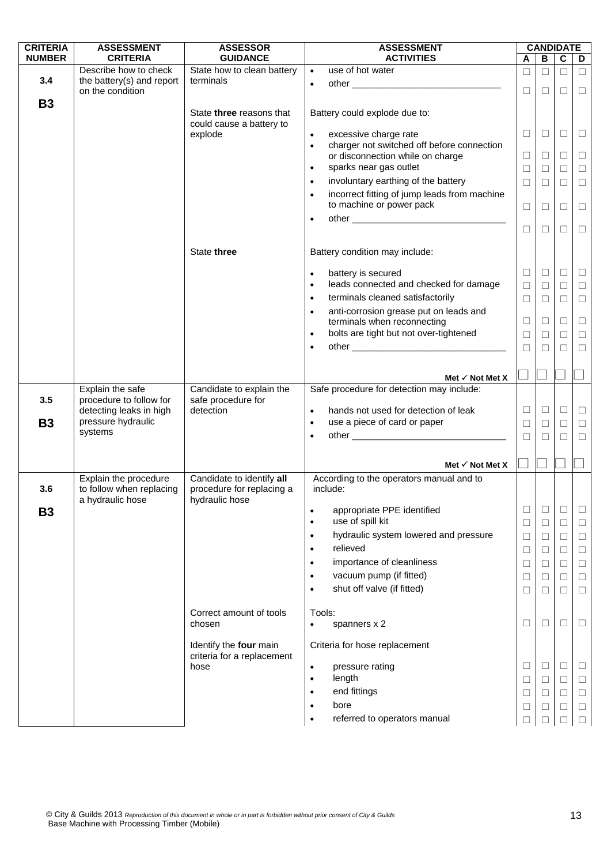| <b>CRITERIA</b> | <b>ASSESSMENT</b>                            | <b>ASSESSOR</b>                                      | <b>ASSESSMENT</b>                                                                             |        |        | <b>CANDIDATE</b> |        |
|-----------------|----------------------------------------------|------------------------------------------------------|-----------------------------------------------------------------------------------------------|--------|--------|------------------|--------|
| <b>NUMBER</b>   | <b>CRITERIA</b>                              | <b>GUIDANCE</b>                                      | <b>ACTIVITIES</b>                                                                             | A      | В      | C                | D      |
|                 | Describe how to check                        | State how to clean battery                           | use of hot water<br>$\bullet$                                                                 | $\Box$ | $\Box$ | $\Box$           | $\Box$ |
| 3.4             | the battery(s) and report                    | terminals                                            | $\bullet$                                                                                     | $\Box$ | $\Box$ | □                | $\Box$ |
|                 | on the condition                             |                                                      |                                                                                               |        |        |                  |        |
| <b>B3</b>       |                                              | State three reasons that<br>could cause a battery to | Battery could explode due to:                                                                 |        |        |                  |        |
|                 |                                              | explode                                              | excessive charge rate<br>$\bullet$<br>charger not switched off before connection<br>$\bullet$ | $\Box$ | $\Box$ | $\Box$           | $\Box$ |
|                 |                                              |                                                      | or disconnection while on charge                                                              | $\Box$ | $\Box$ | $\Box$           | $\Box$ |
|                 |                                              |                                                      | sparks near gas outlet<br>$\bullet$                                                           | $\Box$ | ⊔      | П                | $\Box$ |
|                 |                                              |                                                      | involuntary earthing of the battery<br>$\bullet$                                              | $\Box$ | $\Box$ | $\Box$           | $\Box$ |
|                 |                                              |                                                      | incorrect fitting of jump leads from machine<br>$\bullet$<br>to machine or power pack         | $\Box$ | $\Box$ | $\Box$           | $\Box$ |
|                 |                                              |                                                      | $\bullet$                                                                                     | $\Box$ | □      | $\Box$           | $\Box$ |
|                 |                                              | State three                                          | Battery condition may include:                                                                |        |        |                  |        |
|                 |                                              |                                                      | battery is secured<br>$\bullet$                                                               | □      | $\Box$ | $\Box$           | $\Box$ |
|                 |                                              |                                                      | leads connected and checked for damage<br>$\bullet$                                           | □      | $\Box$ | □                | $\Box$ |
|                 |                                              |                                                      | terminals cleaned satisfactorily<br>$\bullet$                                                 | $\Box$ | $\Box$ | $\Box$           | $\Box$ |
|                 |                                              |                                                      | anti-corrosion grease put on leads and<br>$\bullet$<br>terminals when reconnecting            | □      | $\Box$ | □                | $\Box$ |
|                 |                                              |                                                      | bolts are tight but not over-tightened<br>$\bullet$                                           | □      | $\Box$ | П                | $\Box$ |
|                 |                                              |                                                      | $\bullet$                                                                                     | $\Box$ | П      | П                | $\Box$ |
|                 |                                              |                                                      |                                                                                               |        |        |                  |        |
|                 |                                              |                                                      |                                                                                               |        |        |                  |        |
|                 | Explain the safe                             |                                                      | Met $\checkmark$ Not Met X<br>Safe procedure for detection may include:                       |        |        |                  |        |
| 3.5             | procedure to follow for                      | Candidate to explain the<br>safe procedure for       |                                                                                               |        |        |                  |        |
|                 | detecting leaks in high                      | detection                                            | hands not used for detection of leak<br>$\bullet$                                             | $\Box$ | $\Box$ | $\Box$           | $\Box$ |
| <b>B3</b>       | pressure hydraulic                           |                                                      | use a piece of card or paper<br>$\bullet$                                                     | $\Box$ | $\Box$ | □                | $\Box$ |
|                 | systems                                      |                                                      | $\bullet$                                                                                     | $\Box$ | $\Box$ | $\Box$           | $\Box$ |
|                 |                                              |                                                      |                                                                                               |        |        |                  |        |
|                 |                                              |                                                      | Met $\checkmark$ Not Met X                                                                    |        |        |                  |        |
|                 | Explain the procedure                        | Candidate to identify all                            | According to the operators manual and to                                                      |        |        |                  |        |
| 3.6             | to follow when replacing<br>a hydraulic hose | procedure for replacing a<br>hydraulic hose          | include:                                                                                      |        |        |                  |        |
| <b>B3</b>       |                                              |                                                      | appropriate PPE identified<br>$\bullet$                                                       | $\Box$ | $\Box$ | $\Box$           | ⊔      |
|                 |                                              |                                                      | use of spill kit<br>$\bullet$                                                                 | $\Box$ | ⊔      | □                | ⊔      |
|                 |                                              |                                                      | hydraulic system lowered and pressure<br>$\bullet$                                            | $\Box$ | □      | $\Box$           | $\Box$ |
|                 |                                              |                                                      | relieved<br>$\bullet$                                                                         | $\Box$ | ⊔      | □                | $\Box$ |
|                 |                                              |                                                      | importance of cleanliness<br>$\bullet$                                                        | $\Box$ | ⊔      | $\Box$           | $\Box$ |
|                 |                                              |                                                      | vacuum pump (if fitted)<br>$\bullet$                                                          | $\Box$ | ⊔      | □                | $\Box$ |
|                 |                                              |                                                      | shut off valve (if fitted)<br>$\bullet$                                                       | □      | ⊔      | □                | $\Box$ |
|                 |                                              | Correct amount of tools                              | Tools:                                                                                        |        |        |                  |        |
|                 |                                              | chosen                                               | spanners x 2<br>$\bullet$                                                                     | $\Box$ | □      | $\Box$           | $\Box$ |
|                 |                                              | Identify the four main                               | Criteria for hose replacement                                                                 |        |        |                  |        |
|                 |                                              | criteria for a replacement<br>hose                   | pressure rating<br>$\bullet$                                                                  | $\Box$ | □      | $\Box$           | $\Box$ |
|                 |                                              |                                                      | length<br>$\bullet$                                                                           | $\Box$ | □      | $\Box$           | $\Box$ |
|                 |                                              |                                                      | end fittings<br>$\bullet$                                                                     | $\Box$ | □      | $\Box$           | $\Box$ |
|                 |                                              |                                                      | bore<br>$\bullet$                                                                             | $\Box$ | ⊔      | $\Box$           | $\Box$ |
|                 |                                              |                                                      | referred to operators manual<br>$\bullet$                                                     | $\Box$ |        | П                | $\Box$ |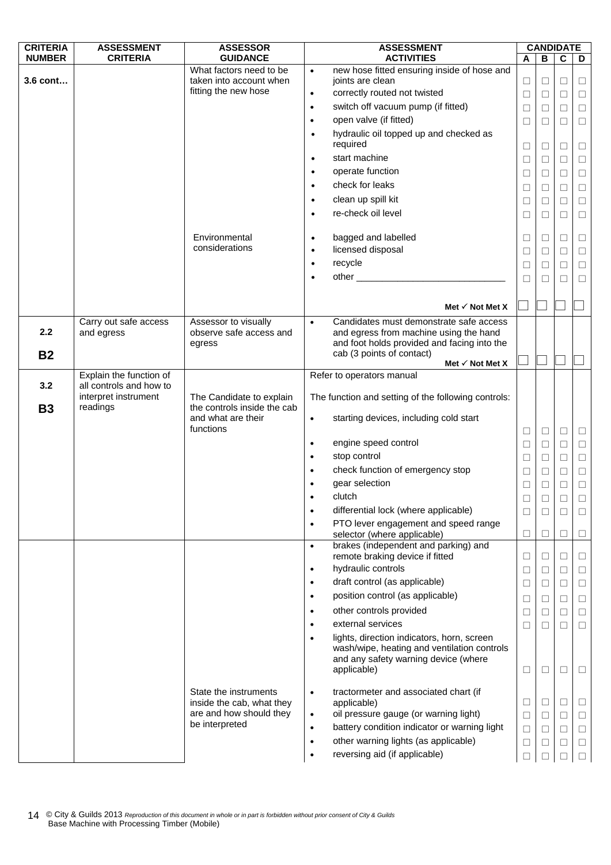| <b>CRITERIA</b> | <b>ASSESSMENT</b>                                  | <b>ASSESSOR</b>                                    |           | <b>ASSESSMENT</b>                                                                 | <b>CANDIDATE</b> |                  |                  |                  |
|-----------------|----------------------------------------------------|----------------------------------------------------|-----------|-----------------------------------------------------------------------------------|------------------|------------------|------------------|------------------|
| <b>NUMBER</b>   | <b>CRITERIA</b>                                    | <b>GUIDANCE</b>                                    |           | <b>ACTIVITIES</b>                                                                 | Α                | B                | $\mathbf c$      | D                |
| 3.6 cont        |                                                    | What factors need to be<br>taken into account when | $\bullet$ | new hose fitted ensuring inside of hose and<br>joints are clean                   |                  |                  |                  |                  |
|                 |                                                    | fitting the new hose                               | $\bullet$ | correctly routed not twisted                                                      | $\Box$<br>$\Box$ | $\Box$<br>$\Box$ | $\Box$<br>$\Box$ | $\Box$<br>$\Box$ |
|                 |                                                    |                                                    | $\bullet$ | switch off vacuum pump (if fitted)                                                |                  |                  |                  |                  |
|                 |                                                    |                                                    | $\bullet$ | open valve (if fitted)                                                            | ⊔                | $\Box$           | □                | $\Box$           |
|                 |                                                    |                                                    | $\bullet$ | hydraulic oil topped up and checked as                                            | $\Box$           | $\Box$           | $\Box$           | $\Box$           |
|                 |                                                    |                                                    |           | required                                                                          | □                | $\Box$           | $\Box$           | $\Box$           |
|                 |                                                    |                                                    | $\bullet$ | start machine                                                                     | $\Box$           | $\Box$           | $\Box$           | $\Box$           |
|                 |                                                    |                                                    | $\bullet$ | operate function                                                                  | $\Box$           | $\Box$           | $\Box$           | $\Box$           |
|                 |                                                    |                                                    | $\bullet$ | check for leaks                                                                   |                  |                  |                  |                  |
|                 |                                                    |                                                    |           |                                                                                   | □                | $\Box$           | $\Box$           | $\Box$           |
|                 |                                                    |                                                    | $\bullet$ | clean up spill kit<br>re-check oil level                                          | $\Box$           | $\Box$           | $\Box$           | $\Box$           |
|                 |                                                    |                                                    | $\bullet$ |                                                                                   | $\Box$           | □                | $\Box$           | $\Box$           |
|                 |                                                    | Environmental                                      | $\bullet$ | bagged and labelled                                                               | ⊔                | $\Box$           | $\Box$           | $\Box$           |
|                 |                                                    | considerations                                     | $\bullet$ | licensed disposal                                                                 | $\Box$           | $\Box$           | $\Box$           | $\Box$           |
|                 |                                                    |                                                    | $\bullet$ | recycle                                                                           | □                | □                | $\Box$           | $\Box$           |
|                 |                                                    |                                                    | $\bullet$ | other ________________________                                                    |                  |                  |                  |                  |
|                 |                                                    |                                                    |           |                                                                                   | $\Box$           | $\Box$           | П                | $\Box$           |
|                 |                                                    |                                                    |           |                                                                                   |                  |                  |                  |                  |
|                 |                                                    |                                                    |           | Met $\checkmark$ Not Met X                                                        |                  |                  |                  |                  |
| 2.2             | Carry out safe access                              | Assessor to visually<br>observe safe access and    | $\bullet$ | Candidates must demonstrate safe access<br>and egress from machine using the hand |                  |                  |                  |                  |
|                 | and egress                                         | egress                                             |           | and foot holds provided and facing into the                                       |                  |                  |                  |                  |
| <b>B2</b>       |                                                    |                                                    |           | cab (3 points of contact)                                                         |                  |                  |                  |                  |
|                 |                                                    |                                                    |           | Met $\checkmark$ Not Met X                                                        |                  |                  |                  |                  |
| 3.2             | Explain the function of<br>all controls and how to |                                                    |           | Refer to operators manual                                                         |                  |                  |                  |                  |
|                 | interpret instrument                               | The Candidate to explain                           |           | The function and setting of the following controls:                               |                  |                  |                  |                  |
| <b>B3</b>       | readings                                           | the controls inside the cab                        |           |                                                                                   |                  |                  |                  |                  |
|                 |                                                    | and what are their                                 | $\bullet$ | starting devices, including cold start                                            |                  |                  |                  |                  |
|                 |                                                    | functions                                          |           |                                                                                   | $\Box$           | $\Box$           | $\Box$           | $\Box$           |
|                 |                                                    |                                                    | $\bullet$ | engine speed control                                                              | $\Box$           | $\Box$           | $\Box$           | $\Box$           |
|                 |                                                    |                                                    | $\bullet$ | stop control                                                                      | $\Box$           | $\Box$           | $\Box$           | $\Box$           |
|                 |                                                    |                                                    |           | check function of emergency stop                                                  | $\Box$           | $\Box$           | $\Box$           | $\Box$           |
|                 |                                                    |                                                    |           | gear selection                                                                    | □                | $\Box$           | $\Box$           | $\Box$           |
|                 |                                                    |                                                    |           | clutch                                                                            | П                | П                |                  |                  |
|                 |                                                    |                                                    | $\bullet$ | differential lock (where applicable)                                              | ⊔                | $\Box$           | ⊔                | ⊔                |
|                 |                                                    |                                                    | $\bullet$ | PTO lever engagement and speed range                                              |                  |                  |                  |                  |
|                 |                                                    |                                                    |           | selector (where applicable)                                                       | ⊔                | ⊔                | ⊔                | □                |
|                 |                                                    |                                                    | $\bullet$ | brakes (independent and parking) and<br>remote braking device if fitted           | ⊔                | $\Box$           | □                | □                |
|                 |                                                    |                                                    | $\bullet$ | hydraulic controls                                                                | ⊔                | $\Box$           | $\Box$           | $\Box$           |
|                 |                                                    |                                                    | $\bullet$ | draft control (as applicable)                                                     | $\Box$           | $\Box$           | $\Box$           | $\Box$           |
|                 |                                                    |                                                    | $\bullet$ | position control (as applicable)                                                  | $\Box$           | $\Box$           | $\Box$           | $\Box$           |
|                 |                                                    |                                                    | ٠         | other controls provided                                                           |                  |                  | $\Box$           |                  |
|                 |                                                    |                                                    |           | external services                                                                 | $\Box$           | $\Box$           |                  | $\Box$           |
|                 |                                                    |                                                    |           | lights, direction indicators, horn, screen                                        | $\Box$           | $\Box$           | $\Box$           | $\Box$           |
|                 |                                                    |                                                    |           | wash/wipe, heating and ventilation controls                                       |                  |                  |                  |                  |
|                 |                                                    |                                                    |           | and any safety warning device (where                                              |                  |                  |                  |                  |
|                 |                                                    |                                                    |           | applicable)                                                                       | $\Box$           | $\Box$           | $\Box$           | □                |
|                 |                                                    | State the instruments                              |           |                                                                                   |                  |                  |                  |                  |
|                 |                                                    | inside the cab, what they                          | $\bullet$ | tractormeter and associated chart (if<br>applicable)                              | □                | $\Box$           | $\Box$           | □                |
|                 |                                                    | are and how should they                            | $\bullet$ | oil pressure gauge (or warning light)                                             | $\Box$           | $\Box$           | $\Box$           | $\Box$           |
|                 |                                                    | be interpreted                                     | $\bullet$ | battery condition indicator or warning light                                      | $\Box$           | $\Box$           | $\Box$           | $\Box$           |
|                 |                                                    |                                                    | $\bullet$ | other warning lights (as applicable)                                              | $\Box$           | □                | $\Box$           | $\Box$           |
|                 |                                                    |                                                    | $\bullet$ | reversing aid (if applicable)                                                     | $\Box$           | П                | П                | $\Box$           |
|                 |                                                    |                                                    |           |                                                                                   |                  |                  |                  |                  |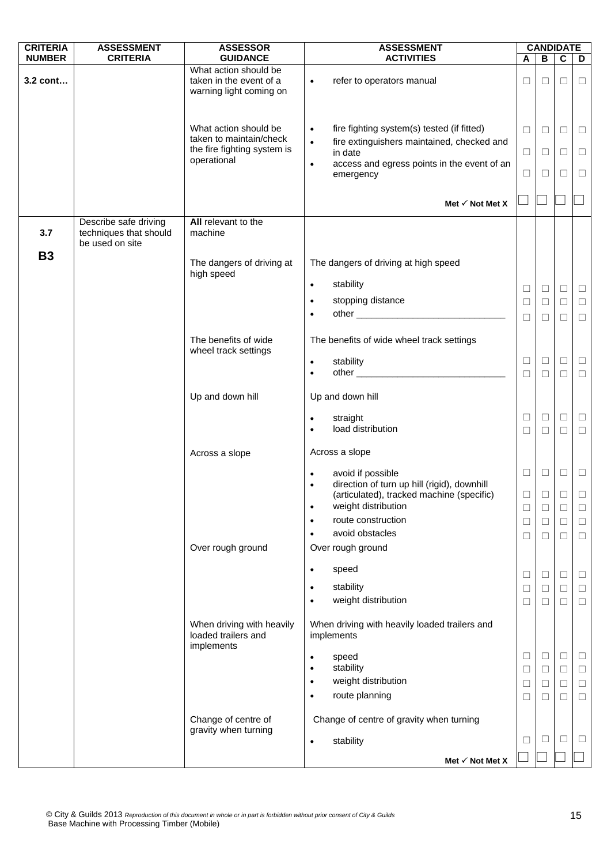| <b>CRITERIA</b> | <b>ASSESSMENT</b>                                                  | <b>ASSESSOR</b>                                    | <b>ASSESSMENT</b>                                                                                                  |                  |                  | <b>CANDIDATE</b> |                  |
|-----------------|--------------------------------------------------------------------|----------------------------------------------------|--------------------------------------------------------------------------------------------------------------------|------------------|------------------|------------------|------------------|
| <b>NUMBER</b>   | <b>CRITERIA</b>                                                    | <b>GUIDANCE</b><br>What action should be           | <b>ACTIVITIES</b>                                                                                                  | A                | B                | $\mathbf c$      | D                |
| 3.2 cont        |                                                                    | taken in the event of a<br>warning light coming on | refer to operators manual<br>$\bullet$                                                                             | ⊔                | $\Box$           | $\Box$           | $\Box$           |
|                 |                                                                    | What action should be<br>taken to maintain/check   | fire fighting system(s) tested (if fitted)<br>$\bullet$<br>fire extinguishers maintained, checked and<br>$\bullet$ | $\Box$           | $\Box$           | $\Box$           | $\Box$           |
|                 |                                                                    | the fire fighting system is                        | in date                                                                                                            | $\Box$           | $\Box$           | □                | $\Box$           |
|                 |                                                                    | operational                                        | access and egress points in the event of an<br>$\bullet$<br>emergency                                              | □                | $\Box$           | □                | $\Box$           |
|                 |                                                                    |                                                    | Met $\checkmark$ Not Met X                                                                                         |                  |                  |                  |                  |
| 3.7             | Describe safe driving<br>techniques that should<br>be used on site | All relevant to the<br>machine                     |                                                                                                                    |                  |                  |                  |                  |
| <b>B3</b>       |                                                                    | The dangers of driving at<br>high speed            | The dangers of driving at high speed                                                                               |                  |                  |                  |                  |
|                 |                                                                    |                                                    | stability<br>$\bullet$                                                                                             | $\Box$           | $\Box$           | $\Box$           | $\Box$           |
|                 |                                                                    |                                                    | stopping distance<br>$\bullet$                                                                                     | $\Box$           | $\Box$           | $\Box$           | $\Box$           |
|                 |                                                                    |                                                    |                                                                                                                    | $\Box$           | $\Box$           | $\Box$           | $\Box$           |
|                 |                                                                    | The benefits of wide<br>wheel track settings       | The benefits of wide wheel track settings                                                                          |                  |                  |                  |                  |
|                 |                                                                    |                                                    | stability<br>$\bullet$                                                                                             | $\Box$           | $\Box$           | $\Box$           | $\Box$           |
|                 |                                                                    |                                                    | $\bullet$                                                                                                          | $\Box$           | $\Box$           | $\Box$           | $\Box$           |
|                 |                                                                    | Up and down hill                                   | Up and down hill                                                                                                   |                  |                  |                  |                  |
|                 |                                                                    |                                                    | straight<br>$\bullet$<br>load distribution<br>$\bullet$                                                            | ⊔<br>$\Box$      | $\Box$<br>$\Box$ | $\Box$<br>$\Box$ | $\Box$<br>$\Box$ |
|                 |                                                                    | Across a slope                                     | Across a slope                                                                                                     |                  |                  |                  |                  |
|                 |                                                                    |                                                    | avoid if possible<br>$\bullet$                                                                                     | $\Box$           | $\Box$           | $\Box$           | $\Box$           |
|                 |                                                                    |                                                    | direction of turn up hill (rigid), downhill<br>$\bullet$<br>(articulated), tracked machine (specific)              | ⊔                | ⊔                | $\Box$           | ⊔                |
|                 |                                                                    |                                                    | weight distribution<br>$\bullet$<br>route construction<br>$\bullet$                                                | $\Box$<br>$\Box$ | $\Box$<br>$\Box$ | $\Box$<br>$\Box$ | $\Box$<br>$\Box$ |
|                 |                                                                    |                                                    | avoid obstacles<br>$\bullet$                                                                                       | $\Box$           | $\Box$           | $\Box$           | $\Box$           |
|                 |                                                                    | Over rough ground                                  | Over rough ground                                                                                                  |                  |                  |                  |                  |
|                 |                                                                    |                                                    | speed<br>$\bullet$                                                                                                 |                  |                  |                  |                  |
|                 |                                                                    |                                                    | stability<br>$\bullet$                                                                                             | $\Box$<br>$\Box$ | $\Box$<br>$\Box$ | $\Box$<br>$\Box$ | $\Box$<br>$\Box$ |
|                 |                                                                    |                                                    | weight distribution<br>$\bullet$                                                                                   | $\Box$           | $\Box$           | $\Box$           | $\Box$           |
|                 |                                                                    | When driving with heavily<br>loaded trailers and   | When driving with heavily loaded trailers and<br>implements                                                        |                  |                  |                  |                  |
|                 |                                                                    | implements                                         | speed<br>$\bullet$                                                                                                 | $\Box$           | $\Box$           | $\Box$           | $\Box$           |
|                 |                                                                    |                                                    | stability<br>$\bullet$                                                                                             | $\Box$           | $\Box$           | $\Box$           | $\Box$           |
|                 |                                                                    |                                                    | weight distribution<br>$\bullet$<br>route planning                                                                 | $\Box$           | $\Box$           | $\Box$           | $\Box$           |
|                 |                                                                    |                                                    | $\bullet$                                                                                                          | $\Box$           | $\Box$           | □                | $\Box$           |
|                 |                                                                    | Change of centre of<br>gravity when turning        | Change of centre of gravity when turning                                                                           |                  |                  |                  |                  |
|                 |                                                                    |                                                    | stability<br>٠                                                                                                     | Ш                | $\Box$           | $\Box$           | $\Box$           |
|                 |                                                                    |                                                    | Met √ Not Met X                                                                                                    |                  |                  |                  |                  |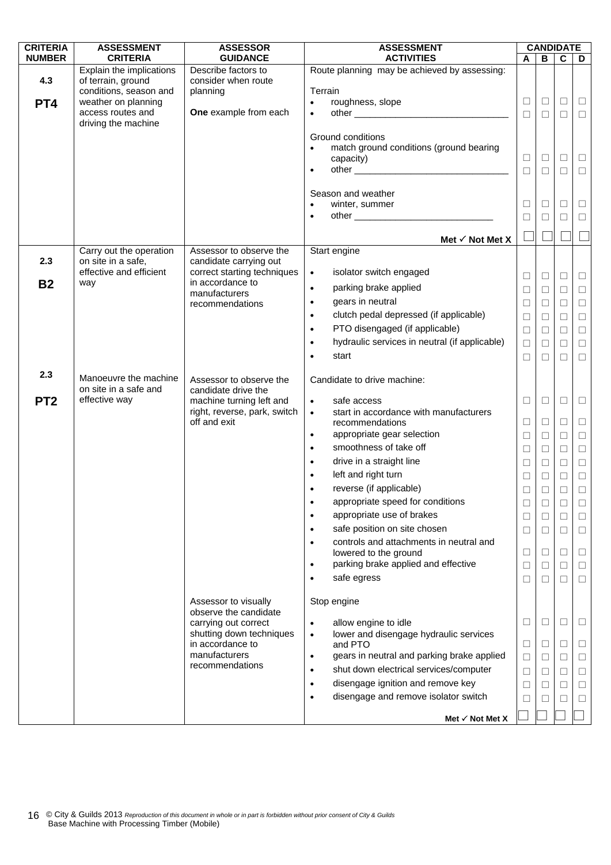| <b>CRITERIA</b> | <b>ASSESSMENT</b>                              | <b>ASSESSOR</b>                                   | <b>ASSESSMENT</b>                                       | <b>CANDIDATE</b> |        |             |        |
|-----------------|------------------------------------------------|---------------------------------------------------|---------------------------------------------------------|------------------|--------|-------------|--------|
| <b>NUMBER</b>   | <b>CRITERIA</b>                                | <b>GUIDANCE</b>                                   | <b>ACTIVITIES</b>                                       | A                | В      | $\mathbf c$ | D      |
| 4.3             | Explain the implications<br>of terrain, ground | Describe factors to<br>consider when route        | Route planning may be achieved by assessing:            |                  |        |             |        |
|                 | conditions, season and                         | planning                                          | Terrain                                                 |                  |        |             |        |
| PT4             | weather on planning                            |                                                   | roughness, slope<br>$\bullet$                           | $\Box$           | $\Box$ | □           | $\Box$ |
|                 | access routes and                              | One example from each                             | $\bullet$                                               | $\Box$           | $\Box$ | $\Box$      | $\Box$ |
|                 | driving the machine                            |                                                   |                                                         |                  |        |             |        |
|                 |                                                |                                                   | Ground conditions                                       |                  |        |             |        |
|                 |                                                |                                                   | match ground conditions (ground bearing                 |                  |        |             |        |
|                 |                                                |                                                   | capacity)<br>$\bullet$                                  | ⊔                | $\Box$ | □           | $\Box$ |
|                 |                                                |                                                   |                                                         | $\Box$           | $\Box$ | $\Box$      | $\Box$ |
|                 |                                                |                                                   | Season and weather                                      |                  |        |             |        |
|                 |                                                |                                                   | winter, summer                                          | $\Box$           | $\Box$ | ⊔           | ⊔      |
|                 |                                                |                                                   |                                                         | $\Box$           | $\Box$ | $\Box$      | $\Box$ |
|                 |                                                |                                                   |                                                         |                  |        |             |        |
|                 |                                                |                                                   | Met $\checkmark$ Not Met X                              |                  |        |             |        |
| 2.3             | Carry out the operation<br>on site in a safe,  | Assessor to observe the<br>candidate carrying out | Start engine                                            |                  |        |             |        |
|                 | effective and efficient                        | correct starting techniques                       | isolator switch engaged<br>$\bullet$                    |                  |        |             |        |
| <b>B2</b>       | way                                            | in accordance to                                  |                                                         | $\Box$           | $\Box$ | Ц           | $\Box$ |
|                 |                                                | manufacturers                                     | parking brake applied<br>$\bullet$                      | $\Box$           | $\Box$ | □           | $\Box$ |
|                 |                                                | recommendations                                   | gears in neutral<br>$\bullet$                           | $\Box$           | $\Box$ | $\Box$      | $\Box$ |
|                 |                                                |                                                   | clutch pedal depressed (if applicable)<br>$\bullet$     | $\Box$           | $\Box$ | $\Box$      | $\Box$ |
|                 |                                                |                                                   | PTO disengaged (if applicable)<br>$\bullet$             | $\Box$           | $\Box$ | □           | $\Box$ |
|                 |                                                |                                                   | hydraulic services in neutral (if applicable)           | $\Box$           | $\Box$ | $\Box$      | $\Box$ |
|                 |                                                |                                                   | start                                                   | $\Box$           | П      | П           | $\Box$ |
| 2.3             |                                                |                                                   |                                                         |                  |        |             |        |
|                 | Manoeuvre the machine<br>on site in a safe and | Assessor to observe the<br>candidate drive the    | Candidate to drive machine:                             |                  |        |             |        |
| PT <sub>2</sub> | effective way                                  | machine turning left and                          | safe access<br>$\bullet$                                | $\Box$           | $\Box$ | □           | $\Box$ |
|                 |                                                | right, reverse, park, switch                      | start in accordance with manufacturers<br>$\bullet$     |                  |        |             |        |
|                 |                                                | off and exit                                      | recommendations                                         | $\Box$           | $\Box$ | □           | $\Box$ |
|                 |                                                |                                                   | appropriate gear selection<br>$\bullet$                 | $\Box$           | $\Box$ | $\Box$      | $\Box$ |
|                 |                                                |                                                   | smoothness of take off<br>$\bullet$                     | $\Box$           | $\Box$ | $\Box$      | $\Box$ |
|                 |                                                |                                                   | drive in a straight line<br>$\bullet$                   | $\Box$           | $\Box$ | $\Box$      | $\Box$ |
|                 |                                                |                                                   | left and right turn<br>$\bullet$                        | $\Box$           | $\Box$ | $\Box$      | $\Box$ |
|                 |                                                |                                                   | reverse (if applicable)                                 | $\Box$           | $\Box$ | $\Box$      | $\Box$ |
|                 |                                                |                                                   | appropriate speed for conditions                        |                  | $\Box$ |             | $\Box$ |
|                 |                                                |                                                   | appropriate use of brakes<br>$\bullet$                  | $\Box$           | $\Box$ | □           | П      |
|                 |                                                |                                                   | safe position on site chosen<br>$\bullet$               | $\Box$           | $\Box$ | □           | $\Box$ |
|                 |                                                |                                                   | controls and attachments in neutral and<br>$\bullet$    |                  |        |             |        |
|                 |                                                |                                                   | lowered to the ground                                   | □                | □      | ⊔           | □      |
|                 |                                                |                                                   | parking brake applied and effective<br>$\bullet$        | $\Box$           | □      | □           | $\Box$ |
|                 |                                                |                                                   | safe egress                                             | $\Box$           | $\Box$ | □           | $\Box$ |
|                 |                                                |                                                   |                                                         |                  |        |             |        |
|                 |                                                | Assessor to visually<br>observe the candidate     | Stop engine                                             |                  |        |             |        |
|                 |                                                | carrying out correct                              | allow engine to idle<br>$\bullet$                       | $\Box$           | $\Box$ | □           | ⊔      |
|                 |                                                | shutting down techniques                          | lower and disengage hydraulic services<br>$\bullet$     |                  |        |             |        |
|                 |                                                | in accordance to                                  | and PTO                                                 | □                | $\Box$ | ⊔           | $\Box$ |
|                 |                                                | manufacturers                                     | gears in neutral and parking brake applied<br>$\bullet$ | $\Box$           | $\Box$ | $\Box$      | $\Box$ |
|                 |                                                | recommendations                                   | shut down electrical services/computer<br>$\bullet$     | $\Box$           | П      | □           | $\Box$ |
|                 |                                                |                                                   | disengage ignition and remove key<br>$\bullet$          | $\Box$           | □      | $\Box$      | $\Box$ |
|                 |                                                |                                                   | disengage and remove isolator switch<br>$\bullet$       | $\Box$           | □      | □           | $\Box$ |
|                 |                                                |                                                   |                                                         |                  |        |             |        |
|                 |                                                |                                                   | Met $\checkmark$ Not Met X                              |                  |        |             |        |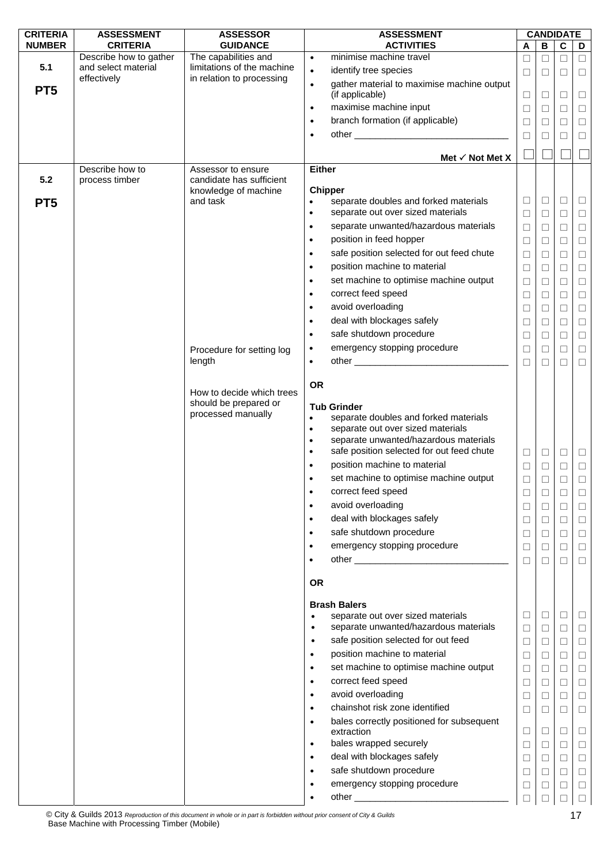| <b>CRITERIA</b> | <b>ASSESSMENT</b>                             | <b>ASSESSOR</b>                                    | <b>ASSESSMENT</b>                                                                       |                            | <b>CANDIDATE</b> |        |                |        |
|-----------------|-----------------------------------------------|----------------------------------------------------|-----------------------------------------------------------------------------------------|----------------------------|------------------|--------|----------------|--------|
| <b>NUMBER</b>   | <b>CRITERIA</b>                               | <b>GUIDANCE</b>                                    | <b>ACTIVITIES</b>                                                                       |                            | A                | B      | $\overline{c}$ | D      |
| 5.1             | Describe how to gather<br>and select material | The capabilities and<br>limitations of the machine | minimise machine travel<br>$\bullet$                                                    |                            | $\Box$           | $\Box$ | $\Box$         | $\Box$ |
|                 | effectively                                   | in relation to processing                          | identify tree species<br>$\bullet$                                                      |                            | $\Box$           | $\Box$ | □              | $\Box$ |
| PT <sub>5</sub> |                                               |                                                    | gather material to maximise machine output<br>$\bullet$<br>(if applicable)              |                            |                  |        |                |        |
|                 |                                               |                                                    | maximise machine input                                                                  |                            | $\Box$           | $\Box$ | ⊔              | $\Box$ |
|                 |                                               |                                                    | $\bullet$<br>branch formation (if applicable)                                           |                            | $\Box$           | $\Box$ | $\Box$         | $\Box$ |
|                 |                                               |                                                    | $\bullet$                                                                               |                            | $\Box$           | □      | □              | $\Box$ |
|                 |                                               |                                                    | $\bullet$                                                                               |                            | $\Box$           | □      | $\Box$         | $\Box$ |
|                 |                                               |                                                    |                                                                                         | Met $\checkmark$ Not Met X |                  |        |                |        |
|                 | Describe how to                               | Assessor to ensure                                 | <b>Either</b>                                                                           |                            |                  |        |                |        |
| 5.2             | process timber                                | candidate has sufficient                           |                                                                                         |                            |                  |        |                |        |
|                 |                                               | knowledge of machine<br>and task                   | <b>Chipper</b><br>separate doubles and forked materials<br>$\bullet$                    |                            | $\Box$           | $\Box$ | □              | $\Box$ |
| PT <sub>5</sub> |                                               |                                                    | separate out over sized materials<br>$\bullet$                                          |                            | $\Box$           | $\Box$ | $\Box$         | $\Box$ |
|                 |                                               |                                                    | separate unwanted/hazardous materials<br>$\bullet$                                      |                            | $\Box$           | ⊔      | $\Box$         | $\Box$ |
|                 |                                               |                                                    | position in feed hopper<br>$\bullet$                                                    |                            | $\Box$           | $\Box$ | $\Box$         | $\Box$ |
|                 |                                               |                                                    | safe position selected for out feed chute<br>$\bullet$                                  |                            | $\Box$           | $\Box$ | $\Box$         | $\Box$ |
|                 |                                               |                                                    | position machine to material<br>$\bullet$                                               |                            | $\Box$           | $\Box$ | $\Box$         | $\Box$ |
|                 |                                               |                                                    | set machine to optimise machine output<br>$\bullet$                                     |                            | $\Box$           | $\Box$ | $\Box$         | $\Box$ |
|                 |                                               |                                                    | correct feed speed<br>$\bullet$                                                         |                            | $\Box$           | □      | $\Box$         | $\Box$ |
|                 |                                               |                                                    | avoid overloading<br>$\bullet$                                                          |                            | $\Box$           | $\Box$ | $\Box$         | $\Box$ |
|                 |                                               |                                                    | deal with blockages safely<br>$\bullet$                                                 |                            | □                | $\Box$ | $\Box$         | $\Box$ |
|                 |                                               |                                                    | safe shutdown procedure<br>$\bullet$                                                    |                            | Ц                | ⊔      | $\Box$         | $\Box$ |
|                 |                                               | Procedure for setting log                          | emergency stopping procedure<br>$\bullet$                                               |                            | $\Box$           | $\Box$ | $\Box$         | $\Box$ |
|                 |                                               | length                                             | $\bullet$                                                                               |                            | П                | $\Box$ | П              | $\Box$ |
|                 |                                               |                                                    |                                                                                         |                            |                  |        |                |        |
|                 |                                               |                                                    | <b>OR</b>                                                                               |                            |                  |        |                |        |
|                 |                                               | How to decide which trees<br>should be prepared or |                                                                                         |                            |                  |        |                |        |
|                 |                                               | processed manually                                 | <b>Tub Grinder</b><br>$\bullet$                                                         |                            |                  |        |                |        |
|                 |                                               |                                                    | separate doubles and forked materials<br>separate out over sized materials<br>$\bullet$ |                            |                  |        |                |        |
|                 |                                               |                                                    | separate unwanted/hazardous materials<br>$\bullet$                                      |                            |                  |        |                |        |
|                 |                                               |                                                    | safe position selected for out feed chute<br>$\bullet$                                  |                            | Ц                | ⊔      | $\Box$         | $\Box$ |
|                 |                                               |                                                    | position machine to material                                                            |                            | $\Box$           | $\Box$ | $\Box$         | $\Box$ |
|                 |                                               |                                                    | set machine to optimise machine output<br>$\bullet$                                     |                            | $\Box$           |        | □              | $\Box$ |
|                 |                                               |                                                    | correct feed speed                                                                      |                            | Ц                |        |                | ⊔      |
|                 |                                               |                                                    | avoid overloading<br>$\bullet$                                                          |                            | $\Box$           | $\Box$ | □              | $\Box$ |
|                 |                                               |                                                    | deal with blockages safely<br>$\bullet$                                                 |                            | □                | □      | □              | $\Box$ |
|                 |                                               |                                                    | safe shutdown procedure<br>$\bullet$                                                    |                            | $\Box$           | □      | $\Box$         | $\Box$ |
|                 |                                               |                                                    | emergency stopping procedure<br>$\bullet$                                               |                            | $\Box$           | □      | П              | $\Box$ |
|                 |                                               |                                                    | ٠                                                                                       |                            | $\Box$           | $\Box$ | $\Box$         | $\Box$ |
|                 |                                               |                                                    |                                                                                         |                            |                  |        |                |        |
|                 |                                               |                                                    | <b>OR</b>                                                                               |                            |                  |        |                |        |
|                 |                                               |                                                    | <b>Brash Balers</b>                                                                     |                            |                  |        |                |        |
|                 |                                               |                                                    | separate out over sized materials<br>$\bullet$                                          |                            | □                | $\Box$ | ⊔              | $\Box$ |
|                 |                                               |                                                    | separate unwanted/hazardous materials<br>$\bullet$                                      |                            | $\Box$           | $\Box$ | □              | $\Box$ |
|                 |                                               |                                                    | safe position selected for out feed<br>$\bullet$                                        |                            | $\Box$           | $\Box$ | $\Box$         | $\Box$ |
|                 |                                               |                                                    | position machine to material<br>$\bullet$                                               |                            | $\Box$           | □      | $\Box$         | $\Box$ |
|                 |                                               |                                                    | set machine to optimise machine output<br>٠                                             |                            | $\Box$           | $\Box$ | $\Box$         | $\Box$ |
|                 |                                               |                                                    | correct feed speed<br>$\bullet$                                                         |                            | $\Box$           | □      | $\Box$         | $\Box$ |
|                 |                                               |                                                    | avoid overloading<br>$\bullet$                                                          |                            | $\Box$           | ⊔      | $\Box$         | $\Box$ |
|                 |                                               |                                                    | chainshot risk zone identified<br>$\bullet$                                             |                            | $\Box$           | $\Box$ | $\Box$         | $\Box$ |
|                 |                                               |                                                    | bales correctly positioned for subsequent<br>$\bullet$                                  |                            |                  |        |                |        |
|                 |                                               |                                                    | extraction                                                                              |                            | $\Box$           | □      | $\Box$         | $\Box$ |
|                 |                                               |                                                    | bales wrapped securely<br>$\bullet$                                                     |                            | $\Box$           | $\Box$ | П              | $\Box$ |
|                 |                                               |                                                    | deal with blockages safely<br>$\bullet$<br>safe shutdown procedure                      |                            | □                | $\Box$ | $\Box$         | $\Box$ |
|                 |                                               |                                                    | $\bullet$<br>emergency stopping procedure                                               |                            | $\Box$           | □      | $\Box$         | $\Box$ |
|                 |                                               |                                                    | ٠                                                                                       |                            | ⊔                | ⊔      | ⊔              | $\Box$ |
|                 |                                               |                                                    | ٠                                                                                       |                            | $\Box$           |        |                | $\Box$ |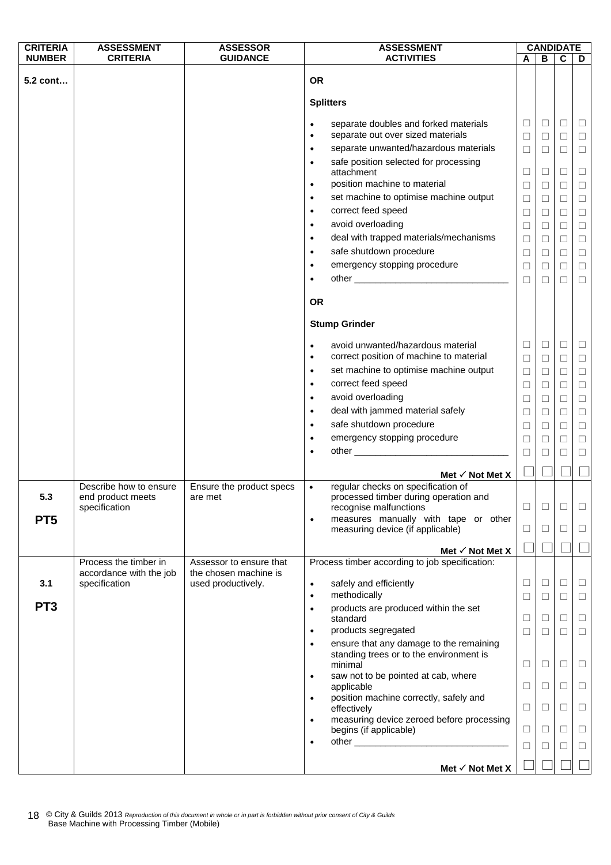| <b>CRITERIA</b> | <b>ASSESSMENT</b>       | <b>ASSESSOR</b>          | <b>ASSESSMENT</b>                                                                                      |                  | <b>CANDIDATE</b> |                  |                  |
|-----------------|-------------------------|--------------------------|--------------------------------------------------------------------------------------------------------|------------------|------------------|------------------|------------------|
| <b>NUMBER</b>   | <b>CRITERIA</b>         | <b>GUIDANCE</b>          | <b>ACTIVITIES</b>                                                                                      | A                | В                | C                | D                |
| 5.2 cont        |                         |                          | <b>OR</b>                                                                                              |                  |                  |                  |                  |
|                 |                         |                          | <b>Splitters</b>                                                                                       |                  |                  |                  |                  |
|                 |                         |                          | separate doubles and forked materials<br>$\bullet$<br>separate out over sized materials<br>$\bullet$   | $\Box$<br>$\Box$ | $\Box$<br>$\Box$ | $\Box$<br>$\Box$ | □<br>$\Box$      |
|                 |                         |                          | separate unwanted/hazardous materials<br>$\bullet$                                                     | $\Box$           | □                | $\Box$           | $\Box$           |
|                 |                         |                          | safe position selected for processing<br>$\bullet$                                                     |                  |                  |                  |                  |
|                 |                         |                          | attachment                                                                                             | ⊔                | $\Box$           | ⊔                | □                |
|                 |                         |                          | position machine to material<br>$\bullet$                                                              | $\Box$           | $\Box$           | $\Box$           | $\Box$           |
|                 |                         |                          | set machine to optimise machine output<br>$\bullet$                                                    | $\Box$           | $\Box$           | □                | $\Box$           |
|                 |                         |                          | correct feed speed<br>$\bullet$                                                                        | $\Box$           | $\Box$           | $\Box$           | $\Box$           |
|                 |                         |                          | avoid overloading<br>$\bullet$                                                                         | $\Box$           | $\Box$           | $\Box$           | $\Box$           |
|                 |                         |                          | deal with trapped materials/mechanisms<br>$\bullet$                                                    | $\Box$           | $\Box$           | $\Box$           | $\Box$           |
|                 |                         |                          | safe shutdown procedure<br>$\bullet$                                                                   | $\Box$           | $\Box$           | $\Box$           | $\Box$           |
|                 |                         |                          | emergency stopping procedure<br>$\bullet$                                                              | $\Box$           | $\Box$           | $\Box$           | $\Box$           |
|                 |                         |                          | ٠                                                                                                      | $\Box$           | $\Box$           | $\Box$           | $\Box$           |
|                 |                         |                          | <b>OR</b>                                                                                              |                  |                  |                  |                  |
|                 |                         |                          | <b>Stump Grinder</b>                                                                                   |                  |                  |                  |                  |
|                 |                         |                          | avoid unwanted/hazardous material<br>$\bullet$<br>correct position of machine to material<br>$\bullet$ | $\Box$<br>$\Box$ | $\Box$<br>$\Box$ | $\Box$<br>$\Box$ | $\Box$<br>$\Box$ |
|                 |                         |                          | set machine to optimise machine output<br>$\bullet$                                                    | $\Box$           | □                | $\Box$           | $\Box$           |
|                 |                         |                          | correct feed speed<br>$\bullet$                                                                        | $\Box$           | $\Box$           | $\Box$           | $\Box$           |
|                 |                         |                          | avoid overloading<br>$\bullet$                                                                         | $\Box$           | $\Box$           | $\Box$           | $\Box$           |
|                 |                         |                          | deal with jammed material safely<br>$\bullet$                                                          |                  |                  | □                | $\Box$           |
|                 |                         |                          | safe shutdown procedure<br>$\bullet$                                                                   | ⊔<br>$\Box$      | $\Box$<br>$\Box$ | $\Box$           | $\Box$           |
|                 |                         |                          | emergency stopping procedure<br>$\bullet$                                                              | □                | □                | □                | $\Box$           |
|                 |                         |                          | $\bullet$                                                                                              | $\Box$           | □                | $\Box$           | $\Box$           |
|                 |                         |                          |                                                                                                        |                  |                  |                  |                  |
|                 |                         |                          | Met $\checkmark$ Not Met X                                                                             |                  |                  |                  |                  |
|                 | Describe how to ensure  | Ensure the product specs | regular checks on specification of<br>$\bullet$                                                        |                  |                  |                  |                  |
| 5.3             | end product meets       | are met                  | processed timber during operation and                                                                  |                  |                  |                  |                  |
|                 | specification           |                          | recognise malfunctions<br>measures manually with tape or other<br>$\bullet$                            | ⊔                | ⊔                | $\mathsf{L}$     |                  |
| PT <sub>5</sub> |                         |                          | measuring device (if applicable)                                                                       | $\Box$           | $\Box$           | $\Box$           | $\Box$           |
|                 |                         |                          | Met $\checkmark$ Not Met X                                                                             |                  |                  |                  |                  |
|                 | Process the timber in   | Assessor to ensure that  | Process timber according to job specification:                                                         |                  |                  |                  |                  |
|                 | accordance with the job | the chosen machine is    |                                                                                                        |                  |                  |                  |                  |
| 3.1             | specification           | used productively.       | safely and efficiently<br>$\bullet$<br>methodically<br>$\bullet$                                       | $\Box$<br>$\Box$ | $\Box$<br>$\Box$ | $\Box$<br>$\Box$ | $\Box$<br>$\Box$ |
| PT <sub>3</sub> |                         |                          | products are produced within the set<br>$\bullet$<br>standard                                          | □                | □                | $\Box$           | $\Box$           |
|                 |                         |                          | products segregated<br>$\bullet$                                                                       | $\Box$           | $\Box$           | $\Box$           | $\Box$           |
|                 |                         |                          | ensure that any damage to the remaining<br>$\bullet$                                                   |                  |                  |                  |                  |
|                 |                         |                          | standing trees or to the environment is<br>minimal                                                     | $\Box$           | □                | □                | □                |
|                 |                         |                          | saw not to be pointed at cab, where<br>$\bullet$<br>applicable                                         | □                | □                | $\Box$           | $\Box$           |
|                 |                         |                          | position machine correctly, safely and<br>$\bullet$<br>effectively                                     | □                | □                | $\Box$           | □                |
|                 |                         |                          | measuring device zeroed before processing<br>$\bullet$                                                 |                  |                  |                  |                  |
|                 |                         |                          | begins (if applicable)<br>$\bullet$                                                                    | ⊔<br>$\Box$      | ⊔<br>$\Box$      | $\Box$<br>$\Box$ | ⊔<br>$\Box$      |
|                 |                         |                          |                                                                                                        |                  |                  |                  |                  |
|                 |                         |                          | Met $\checkmark$ Not Met X                                                                             |                  |                  |                  |                  |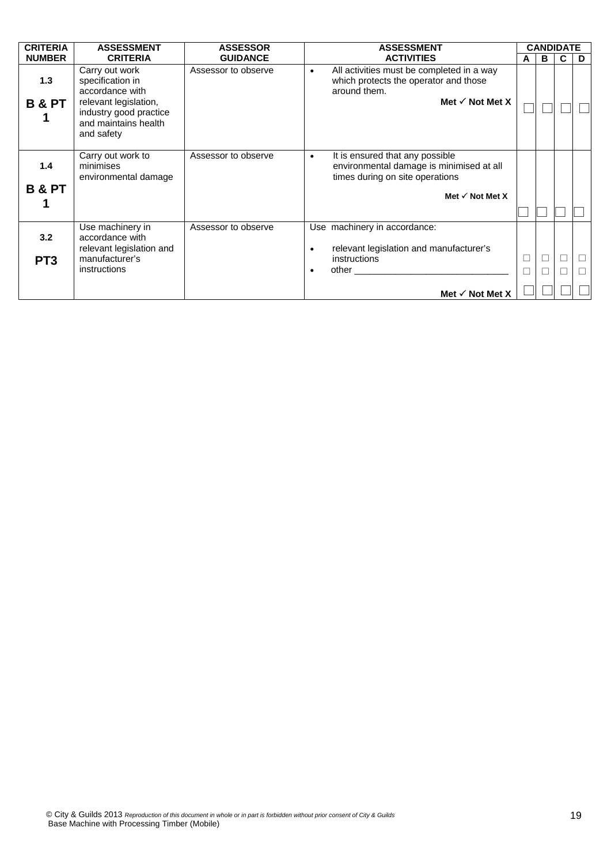| <b>CRITERIA</b>          | <b>ASSESSMENT</b>                                                                                                                              | <b>ASSESSOR</b>     | <b>ASSESSMENT</b>                                                                                                                                 |        | <b>CANDIDATE</b> |        |        |
|--------------------------|------------------------------------------------------------------------------------------------------------------------------------------------|---------------------|---------------------------------------------------------------------------------------------------------------------------------------------------|--------|------------------|--------|--------|
| <b>NUMBER</b>            | <b>CRITERIA</b>                                                                                                                                | <b>GUIDANCE</b>     | <b>ACTIVITIES</b>                                                                                                                                 | A      | в                | C      | D      |
| 1.3<br><b>B &amp; PT</b> | Carry out work<br>specification in<br>accordance with<br>relevant legislation,<br>industry good practice<br>and maintains health<br>and safety | Assessor to observe | All activities must be completed in a way<br>$\bullet$<br>which protects the operator and those<br>around them.<br>Met $\checkmark$ Not Met X     |        |                  |        |        |
| 1.4<br><b>B &amp; PT</b> | Carry out work to<br>minimises<br>environmental damage                                                                                         | Assessor to observe | It is ensured that any possible<br>٠<br>environmental damage is minimised at all<br>times during on site operations<br>Met $\checkmark$ Not Met X |        |                  |        |        |
| 3.2<br>PT <sub>3</sub>   | Use machinery in<br>accordance with<br>relevant legislation and<br>manufacturer's<br>instructions                                              | Assessor to observe | Use machinery in accordance:<br>relevant legislation and manufacturer's<br>instructions<br>$\bullet$                                              | $\Box$ | Н                | $\Box$ | $\Box$ |
|                          |                                                                                                                                                |                     | Met $\checkmark$ Not Met X                                                                                                                        |        |                  |        |        |